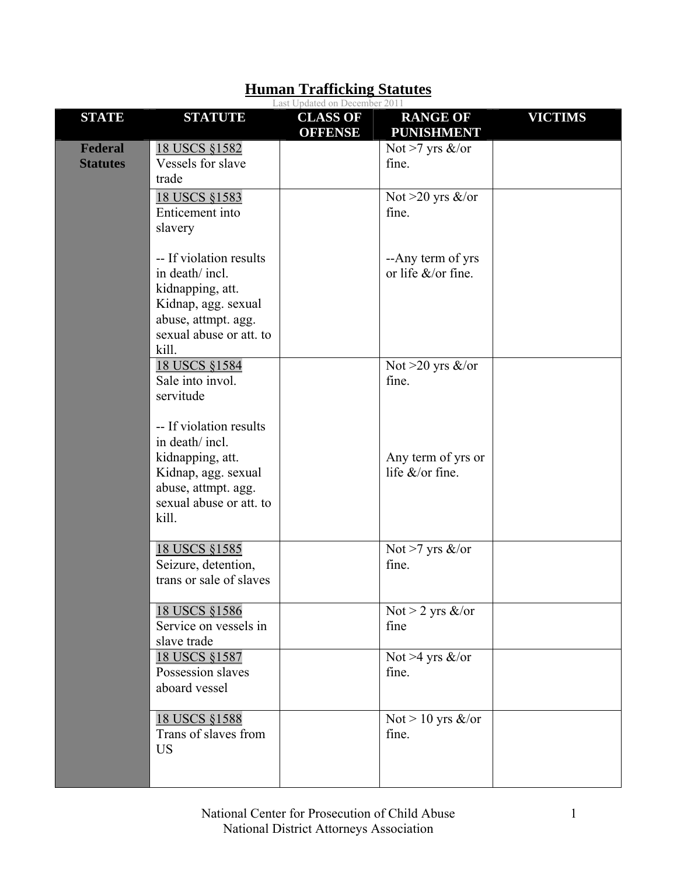|                            | Last Updated on December 2011                                                                                                                    |                                   |                                               |                |  |  |
|----------------------------|--------------------------------------------------------------------------------------------------------------------------------------------------|-----------------------------------|-----------------------------------------------|----------------|--|--|
| <b>STATE</b>               | <b>STATUTE</b>                                                                                                                                   | <b>CLASS OF</b><br><b>OFFENSE</b> | <b>RANGE OF</b><br><b>PUNISHMENT</b>          | <b>VICTIMS</b> |  |  |
| Federal<br><b>Statutes</b> | 18 USCS §1582<br>Vessels for slave<br>trade                                                                                                      |                                   | Not >7 yrs $\&$ /or<br>fine.                  |                |  |  |
|                            | 18 USCS §1583<br>Enticement into<br>slavery                                                                                                      |                                   | Not $>20$ yrs &/or<br>fine.                   |                |  |  |
|                            | -- If violation results<br>in death/ incl.<br>kidnapping, att.<br>Kidnap, agg. sexual<br>abuse, attmpt. agg.<br>sexual abuse or att. to<br>kill. |                                   | --Any term of yrs<br>or life $&\&$ or fine.   |                |  |  |
|                            | 18 USCS §1584<br>Sale into invol.<br>servitude                                                                                                   |                                   | Not >20 yrs $\&$ /or<br>fine.                 |                |  |  |
|                            | -- If violation results<br>in death/incl.<br>kidnapping, att.<br>Kidnap, agg. sexual<br>abuse, attmpt. agg.<br>sexual abuse or att. to<br>kill.  |                                   | Any term of yrs or<br>life $&\sqrt{or}$ fine. |                |  |  |
|                            | 18 USCS §1585<br>Seizure, detention,<br>trans or sale of slaves                                                                                  |                                   | Not >7 yrs $\&$ /or<br>fine.                  |                |  |  |
|                            | 18 USCS §1586<br>Service on vessels in<br>slave trade                                                                                            |                                   | Not > 2 yrs $\&$ /or<br>fine                  |                |  |  |
|                            | <u>18 USCS §1587</u><br>Possession slaves<br>aboard vessel                                                                                       |                                   | Not >4 yrs $\&$ /or<br>fine.                  |                |  |  |
|                            | 18 USCS §1588<br>Trans of slaves from<br><b>US</b>                                                                                               |                                   | Not > 10 yrs $\&$ /or<br>fine.                |                |  |  |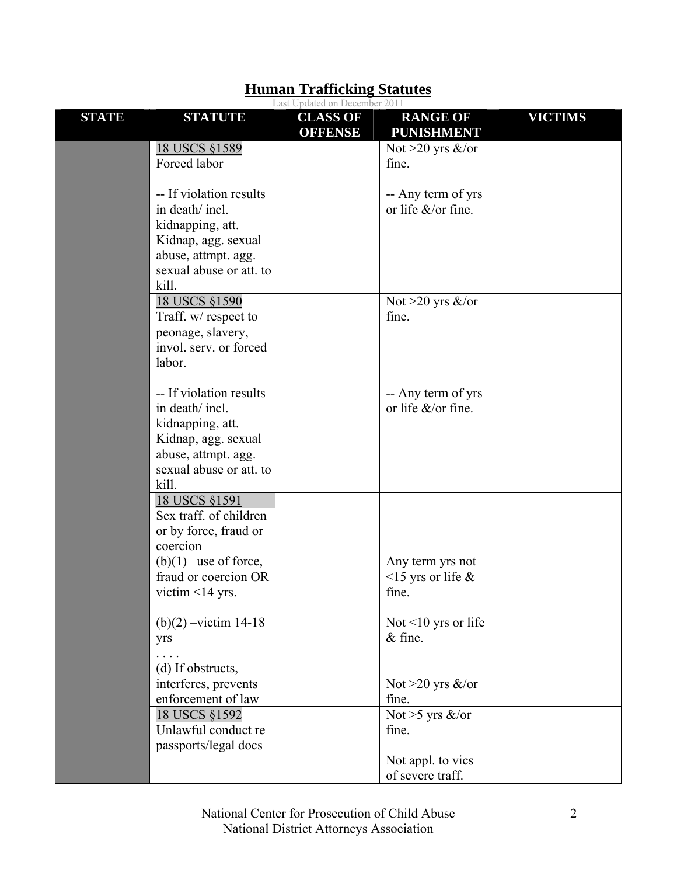|              |                                   | Last Updated on December 2011     |                                      |                |
|--------------|-----------------------------------|-----------------------------------|--------------------------------------|----------------|
| <b>STATE</b> | <b>STATUTE</b>                    | <b>CLASS OF</b><br><b>OFFENSE</b> | <b>RANGE OF</b><br><b>PUNISHMENT</b> | <b>VICTIMS</b> |
|              | 18 USCS §1589                     |                                   | Not $>20$ yrs &/or                   |                |
|              | Forced labor                      |                                   | fine.                                |                |
|              | -- If violation results           |                                   | -- Any term of yrs                   |                |
|              | in death/ incl.                   |                                   | or life $&\sqrt{or}$ fine.           |                |
|              | kidnapping, att.                  |                                   |                                      |                |
|              | Kidnap, agg. sexual               |                                   |                                      |                |
|              | abuse, attmpt. agg.               |                                   |                                      |                |
|              | sexual abuse or att. to           |                                   |                                      |                |
|              | kill.                             |                                   |                                      |                |
|              | 18 USCS §1590                     |                                   | Not $>20$ yrs &/or                   |                |
|              | Traff. w/ respect to              |                                   | fine.                                |                |
|              | peonage, slavery,                 |                                   |                                      |                |
|              | invol. serv. or forced            |                                   |                                      |                |
|              | labor.                            |                                   |                                      |                |
|              | -- If violation results           |                                   | -- Any term of yrs                   |                |
|              | in death/ incl.                   |                                   | or life $\&$ /or fine.               |                |
|              | kidnapping, att.                  |                                   |                                      |                |
|              | Kidnap, agg. sexual               |                                   |                                      |                |
|              | abuse, attmpt. agg.               |                                   |                                      |                |
|              | sexual abuse or att. to           |                                   |                                      |                |
|              | kill.                             |                                   |                                      |                |
|              | 18 USCS §1591                     |                                   |                                      |                |
|              | Sex traff. of children            |                                   |                                      |                |
|              | or by force, fraud or<br>coercion |                                   |                                      |                |
|              | $(b)(1)$ –use of force,           |                                   | Any term yrs not                     |                |
|              | fraud or coercion OR              |                                   | <15 yrs or life $&$                  |                |
|              | victim $\leq$ 14 yrs.             |                                   | fine.                                |                |
|              |                                   |                                   |                                      |                |
|              | $(b)(2) - victim 14-18$           |                                   | Not $\leq 10$ yrs or life            |                |
|              | yrs                               |                                   | $&$ fine.                            |                |
|              | (d) If obstructs,                 |                                   |                                      |                |
|              | interferes, prevents              |                                   | Not >20 yrs $\&$ /or                 |                |
|              | enforcement of law                |                                   | fine.                                |                |
|              | 18 USCS §1592                     |                                   | Not >5 yrs $\&$ /or                  |                |
|              | Unlawful conduct re               |                                   | fine.                                |                |
|              | passports/legal docs              |                                   |                                      |                |
|              |                                   |                                   | Not appl. to vics                    |                |
|              |                                   |                                   | of severe traff.                     |                |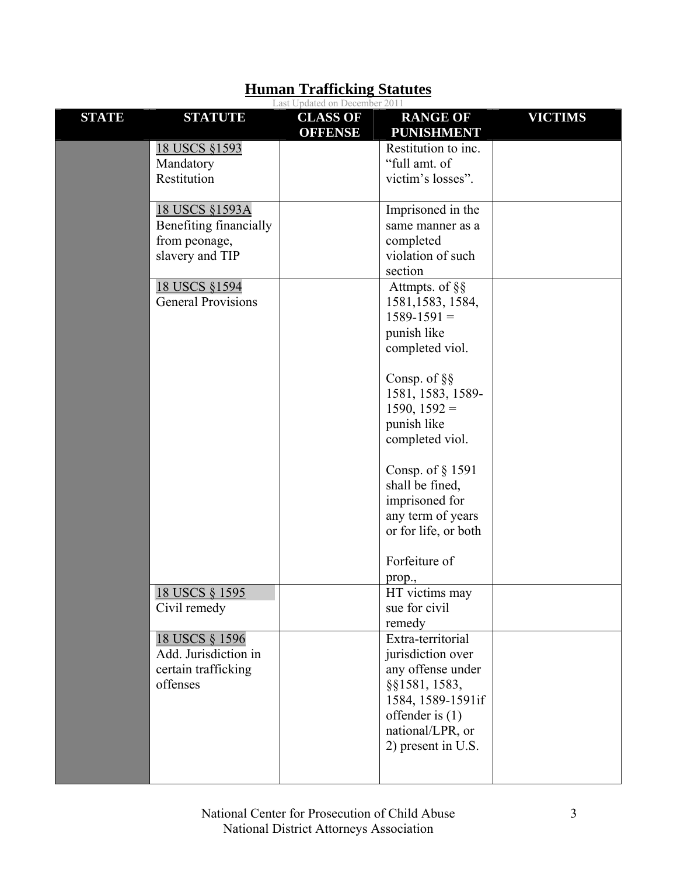|              |                           | Last Updated on December 2011     |                                      |                |
|--------------|---------------------------|-----------------------------------|--------------------------------------|----------------|
| <b>STATE</b> | <b>STATUTE</b>            | <b>CLASS OF</b><br><b>OFFENSE</b> | <b>RANGE OF</b><br><b>PUNISHMENT</b> | <b>VICTIMS</b> |
|              | 18 USCS §1593             |                                   | Restitution to inc.                  |                |
|              | Mandatory                 |                                   | "full amt. of                        |                |
|              | Restitution               |                                   | victim's losses".                    |                |
|              |                           |                                   |                                      |                |
|              | 18 USCS §1593A            |                                   | Imprisoned in the                    |                |
|              | Benefiting financially    |                                   | same manner as a                     |                |
|              | from peonage,             |                                   | completed                            |                |
|              | slavery and TIP           |                                   | violation of such                    |                |
|              |                           |                                   | section                              |                |
|              | 18 USCS §1594             |                                   | Attmpts. of §§                       |                |
|              | <b>General Provisions</b> |                                   | 1581, 1583, 1584,                    |                |
|              |                           |                                   | $1589 - 1591 =$                      |                |
|              |                           |                                   | punish like                          |                |
|              |                           |                                   | completed viol.                      |                |
|              |                           |                                   |                                      |                |
|              |                           |                                   | Consp. of $\S$                       |                |
|              |                           |                                   | 1581, 1583, 1589-                    |                |
|              |                           |                                   | $1590, 1592 =$                       |                |
|              |                           |                                   | punish like                          |                |
|              |                           |                                   | completed viol.                      |                |
|              |                           |                                   |                                      |                |
|              |                           |                                   | Consp. of § 1591                     |                |
|              |                           |                                   | shall be fined,                      |                |
|              |                           |                                   | imprisoned for                       |                |
|              |                           |                                   | any term of years                    |                |
|              |                           |                                   | or for life, or both                 |                |
|              |                           |                                   |                                      |                |
|              |                           |                                   | Forfeiture of                        |                |
|              |                           |                                   | prop.,                               |                |
|              | 18 USCS § 1595            |                                   | HT victims may                       |                |
|              | Civil remedy              |                                   | sue for civil                        |                |
|              |                           |                                   | remedy                               |                |
|              | 18 USCS § 1596            |                                   | Extra-territorial                    |                |
|              | Add. Jurisdiction in      |                                   | jurisdiction over                    |                |
|              | certain trafficking       |                                   | any offense under                    |                |
|              | offenses                  |                                   | §§1581, 1583,                        |                |
|              |                           |                                   | 1584, 1589-1591if                    |                |
|              |                           |                                   | offender is $(1)$                    |                |
|              |                           |                                   | national/LPR, or                     |                |
|              |                           |                                   | 2) present in U.S.                   |                |
|              |                           |                                   |                                      |                |
|              |                           |                                   |                                      |                |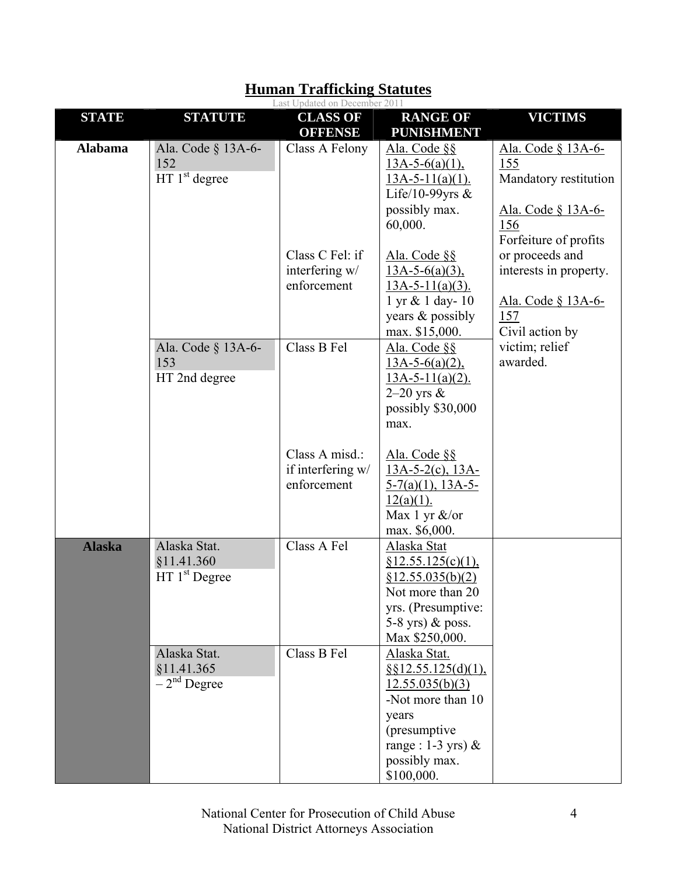|                |                                                         | Last Updated on December 2011                      |                                                                                                                                                                |                                                                                                                 |
|----------------|---------------------------------------------------------|----------------------------------------------------|----------------------------------------------------------------------------------------------------------------------------------------------------------------|-----------------------------------------------------------------------------------------------------------------|
| <b>STATE</b>   | <b>STATUTE</b>                                          | <b>CLASS OF</b><br><b>OFFENSE</b>                  | <b>RANGE OF</b><br><b>PUNISHMENT</b>                                                                                                                           | <b>VICTIMS</b>                                                                                                  |
| <b>Alabama</b> | Ala. Code § 13A-6-<br>152<br>HT 1 <sup>st</sup> degree  | Class A Felony                                     | Ala. Code §§<br>$13A-5-6(a)(1)$ ,<br>$13A-5-11(a)(1)$ .<br>Life/10-99yrs $&$<br>possibly max.<br>60,000.                                                       | <u>Ala. Code § 13A-6-</u><br>155<br>Mandatory restitution<br>Ala. Code § 13A-6-<br>156<br>Forfeiture of profits |
|                |                                                         | Class C Fel: if<br>interfering w/<br>enforcement   | Ala. Code §§<br>$13A-5-6(a)(3)$ ,<br>$13A-5-11(a)(3)$ .<br>1 yr & 1 day-10<br>years & possibly<br>max. \$15,000.                                               | or proceeds and<br>interests in property.<br>Ala. Code § 13A-6-<br>157<br>Civil action by                       |
|                | Ala. Code § 13A-6-<br>153<br>HT 2nd degree              | Class B Fel                                        | Ala. Code §§<br>$13A-5-6(a)(2)$ ,<br>$13A-5-11(a)(2)$ .<br>$2-20$ yrs $\&$<br>possibly \$30,000<br>max.                                                        | victim; relief<br>awarded.                                                                                      |
|                |                                                         | Class A misd.:<br>if interfering w/<br>enforcement | Ala. Code §§<br>$13A-5-2(c)$ , $13A-$<br>$5-7(a)(1)$ , 13A-5-<br>$12(a)(1)$ .<br>Max 1 yr &/or<br>max. \$6,000.                                                |                                                                                                                 |
| <b>Alaska</b>  | Alaska Stat.<br>§11.41.360<br>HT 1 <sup>st</sup> Degree | Class A Fel                                        | Alaska Stat<br>§12.55.125(c)(1),<br>§12.55.035(b)(2)<br>Not more than 20<br>yrs. (Presumptive:<br>5-8 yrs) $&$ poss.<br>Max \$250,000.                         |                                                                                                                 |
|                | Alaska Stat.<br>§11.41.365<br>$-2nd$ Degree             | Class B Fel                                        | Alaska Stat.<br>$§$ §12.55.125(d)(1),<br>12.55.035(b)(3)<br>-Not more than 10<br>years<br>(presumptive)<br>range : $1-3$ yrs) &<br>possibly max.<br>\$100,000. |                                                                                                                 |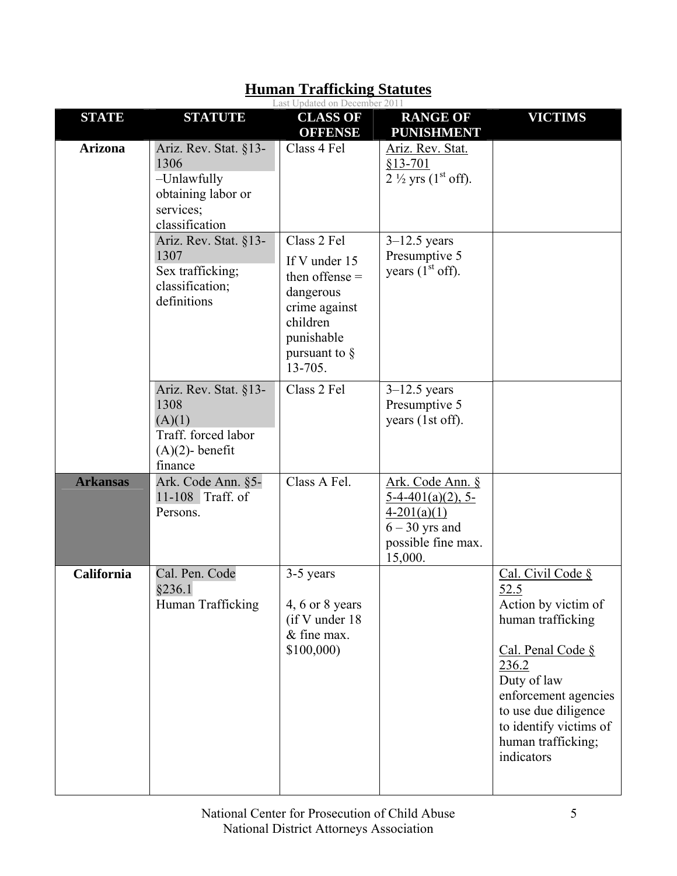|                 |                                                                                                   | Last Updated on December 2011                                                                                                           |                                                                                                                |                                                                                                                                                                                                                                  |
|-----------------|---------------------------------------------------------------------------------------------------|-----------------------------------------------------------------------------------------------------------------------------------------|----------------------------------------------------------------------------------------------------------------|----------------------------------------------------------------------------------------------------------------------------------------------------------------------------------------------------------------------------------|
| <b>STATE</b>    | <b>STATUTE</b>                                                                                    | <b>CLASS OF</b><br><b>OFFENSE</b>                                                                                                       | <b>RANGE OF</b><br><b>PUNISHMENT</b>                                                                           | <b>VICTIMS</b>                                                                                                                                                                                                                   |
| <b>Arizona</b>  | Ariz. Rev. Stat. §13-<br>1306<br>-Unlawfully<br>obtaining labor or<br>services;<br>classification | Class 4 Fel                                                                                                                             | Ariz. Rev. Stat.<br>$$13-701$<br>$2\frac{1}{2}$ yrs (1 <sup>st</sup> off).                                     |                                                                                                                                                                                                                                  |
|                 | Ariz. Rev. Stat. §13-<br>1307<br>Sex trafficking;<br>classification;<br>definitions               | Class 2 Fel<br>If V under 15<br>then offense $=$<br>dangerous<br>crime against<br>children<br>punishable<br>pursuant to $\S$<br>13-705. | $3-12.5$ years<br>Presumptive 5<br>years $(1st$ off).                                                          |                                                                                                                                                                                                                                  |
|                 | Ariz. Rev. Stat. §13-<br>1308<br>(A)(1)<br>Traff. forced labor<br>$(A)(2)$ - benefit<br>finance   | Class 2 Fel                                                                                                                             | $3-12.5$ years<br>Presumptive 5<br>years (1st off).                                                            |                                                                                                                                                                                                                                  |
| <b>Arkansas</b> | Ark. Code Ann. §5-<br>11-108 Traff. of<br>Persons.                                                | Class A Fel.                                                                                                                            | Ark. Code Ann. §<br>$5-4-401(a)(2)$ , 5-<br>$4-201(a)(1)$<br>$6 - 30$ yrs and<br>possible fine max.<br>15,000. |                                                                                                                                                                                                                                  |
| California      | Cal. Pen. Code<br>§236.1<br>Human Trafficking                                                     | 3-5 years<br>4, 6 or 8 years<br>(if V under 18)<br>& fine max.<br>\$100,000                                                             |                                                                                                                | Cal. Civil Code §<br>52.5<br>Action by victim of<br>human trafficking<br>Cal. Penal Code §<br>236.2<br>Duty of law<br>enforcement agencies<br>to use due diligence<br>to identify victims of<br>human trafficking;<br>indicators |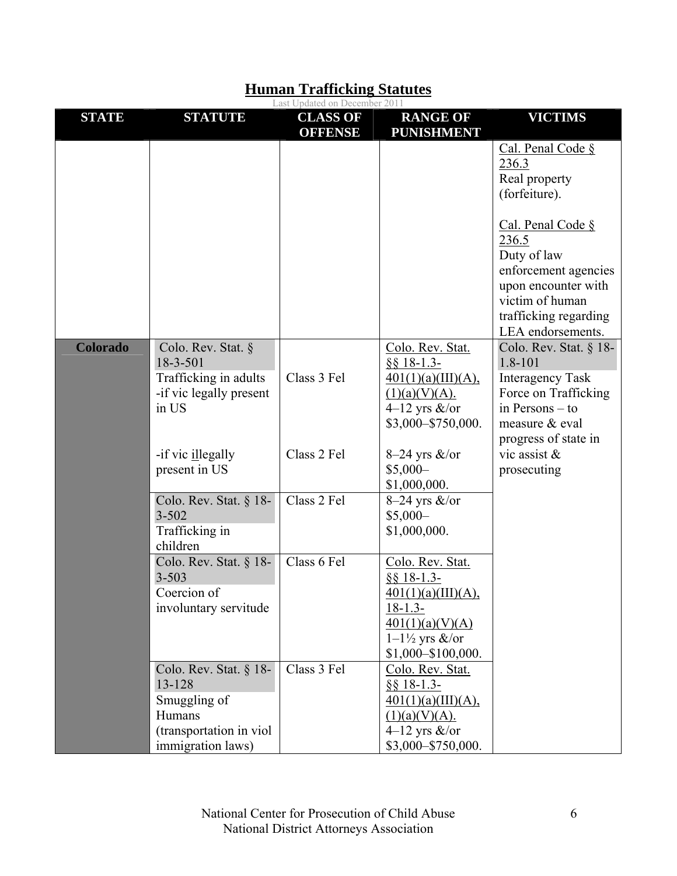|                 |                                                                                                              | Last Updated on December 2011     |                                                                                                                                                |                                                                                                                                                           |
|-----------------|--------------------------------------------------------------------------------------------------------------|-----------------------------------|------------------------------------------------------------------------------------------------------------------------------------------------|-----------------------------------------------------------------------------------------------------------------------------------------------------------|
| <b>STATE</b>    | <b>STATUTE</b>                                                                                               | <b>CLASS OF</b><br><b>OFFENSE</b> | <b>RANGE OF</b><br><b>PUNISHMENT</b>                                                                                                           | <b>VICTIMS</b>                                                                                                                                            |
|                 |                                                                                                              |                                   |                                                                                                                                                | Cal. Penal Code §<br>236.3<br>Real property<br>(forfeiture).                                                                                              |
|                 |                                                                                                              |                                   |                                                                                                                                                | Cal. Penal Code §<br>236.5<br>Duty of law<br>enforcement agencies<br>upon encounter with<br>victim of human<br>trafficking regarding<br>LEA endorsements. |
| <b>Colorado</b> | Colo. Rev. Stat. §<br>18-3-501<br>Trafficking in adults<br>-if vic legally present<br>in US                  | Class 3 Fel                       | Colo. Rev. Stat.<br>$$818-1.3-$<br>401(1)(a)(III)(A),<br>(1)(a)(V)(A).<br>4–12 yrs $\&$ /or<br>\$3,000-\$750,000.                              | Colo. Rev. Stat. § 18-<br>1.8-101<br><b>Interagency Task</b><br>Force on Trafficking<br>in Persons $-$ to<br>measure & eval<br>progress of state in       |
|                 | -if vic illegally<br>present in US                                                                           | Class 2 Fel                       | $8-24$ yrs $\&$ /or<br>$$5,000-$<br>\$1,000,000.                                                                                               | vic assist $\&$<br>prosecuting                                                                                                                            |
|                 | Colo. Rev. Stat. § 18-<br>$3 - 502$<br>Trafficking in<br>children                                            | Class 2 Fel                       | $8-24$ yrs $\&$ /or<br>$$5,000-$<br>\$1,000,000.                                                                                               |                                                                                                                                                           |
|                 | Colo. Rev. Stat. $§$ 18-<br>$3 - 503$<br>Coercion of<br>involuntary servitude                                | Class 6 Fel                       | Colo. Rev. Stat.<br>$8818 - 1.3$<br>401(1)(a)(III)(A),<br>$18 - 1.3 -$<br>401(1)(a)(V)(A)<br>$1-1\frac{1}{2}$ yrs &/or<br>$$1,000 - $100,000.$ |                                                                                                                                                           |
|                 | Colo. Rev. Stat. $§$ 18-<br>13-128<br>Smuggling of<br>Humans<br>(transportation in viol<br>immigration laws) | Class 3 Fel                       | Colo. Rev. Stat.<br>$§$ § 18-1.3-<br>401(1)(a)(III)(A),<br>(1)(a)(V)(A).<br>4–12 yrs $\&$ /or<br>\$3,000-\$750,000.                            |                                                                                                                                                           |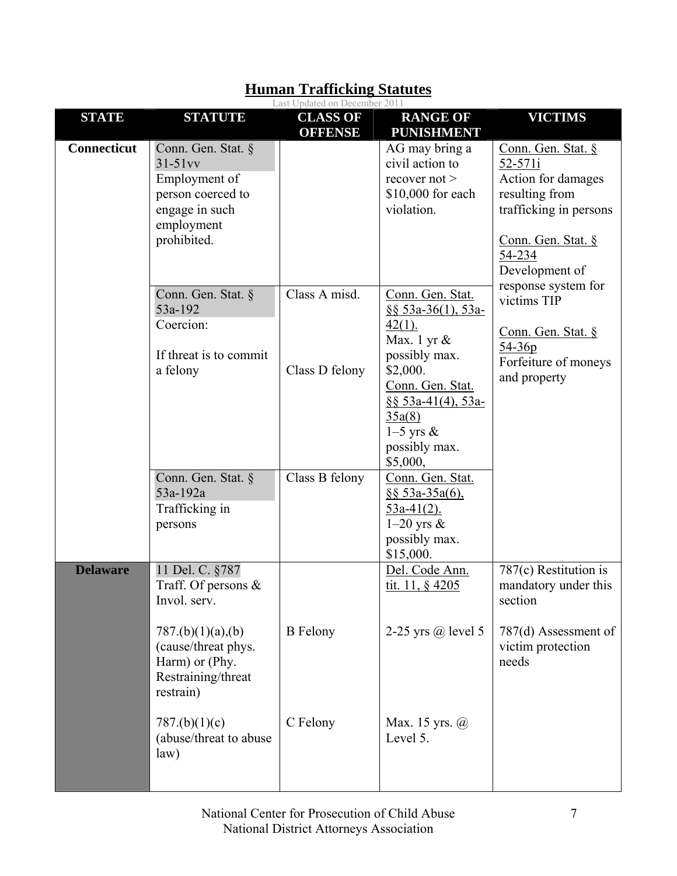|                    |                                                                                                                                                            | Last Updated on December 2011     |                                                                                                                                                                                                        |                                                                                                                                                   |
|--------------------|------------------------------------------------------------------------------------------------------------------------------------------------------------|-----------------------------------|--------------------------------------------------------------------------------------------------------------------------------------------------------------------------------------------------------|---------------------------------------------------------------------------------------------------------------------------------------------------|
| <b>STATE</b>       | <b>STATUTE</b>                                                                                                                                             | <b>CLASS OF</b><br><b>OFFENSE</b> | <b>RANGE OF</b><br><b>PUNISHMENT</b>                                                                                                                                                                   | <b>VICTIMS</b>                                                                                                                                    |
| <b>Connecticut</b> | Conn. Gen. Stat. §<br>$31-51$ vv<br>Employment of<br>person coerced to<br>engage in such<br>employment<br>prohibited.                                      |                                   | AG may bring a<br>civil action to<br>recover $not$<br>\$10,000 for each<br>violation.                                                                                                                  | Conn. Gen. Stat. §<br>52-571i<br>Action for damages<br>resulting from<br>trafficking in persons<br>Conn. Gen. Stat. §<br>54-234<br>Development of |
|                    | Conn. Gen. Stat. §<br>53a-192<br>Coercion:<br>If threat is to commit<br>a felony                                                                           | Class A misd.<br>Class D felony   | Conn. Gen. Stat.<br>§§ 53a-36(1), 53a-<br>$42(1)$ .<br>Max. 1 yr $\&$<br>possibly max.<br>\$2,000.<br>Conn. Gen. Stat.<br>$\S$ § 53a-41(4), 53a-<br>35a(8)<br>$1-5$ yrs &<br>possibly max.<br>\$5,000, | response system for<br>victims TIP<br><u>Conn. Gen. Stat. §</u><br>$54 - 36p$<br>Forfeiture of moneys<br>and property                             |
|                    | Conn. Gen. Stat. §<br>53a-192a<br>Trafficking in<br>persons                                                                                                | Class B felony                    | Conn. Gen. Stat.<br>$$853a-35a(6),$<br>$53a-41(2)$ .<br>$1-20$ yrs $\&$<br>possibly max.<br>\$15,000.                                                                                                  |                                                                                                                                                   |
| <b>Delaware</b>    | 11 Del. C. §787<br>Traff. Of persons $\&$<br>Invol. serv.<br>787.(b)(1)(a),(b)<br>(cause/threat phys.<br>Harm) or (Phy.<br>Restraining/threat<br>restrain) | <b>B</b> Felony                   | Del. Code Ann.<br>tit. 11, $§$ 4205<br>2-25 yrs $\omega$ level 5                                                                                                                                       | $787(c)$ Restitution is<br>mandatory under this<br>section<br>787(d) Assessment of<br>victim protection<br>needs                                  |
|                    | 787.(b)(1)(c)<br>(abuse/threat to abuse<br>law)                                                                                                            | C Felony                          | Max. 15 yrs. @<br>Level 5.                                                                                                                                                                             |                                                                                                                                                   |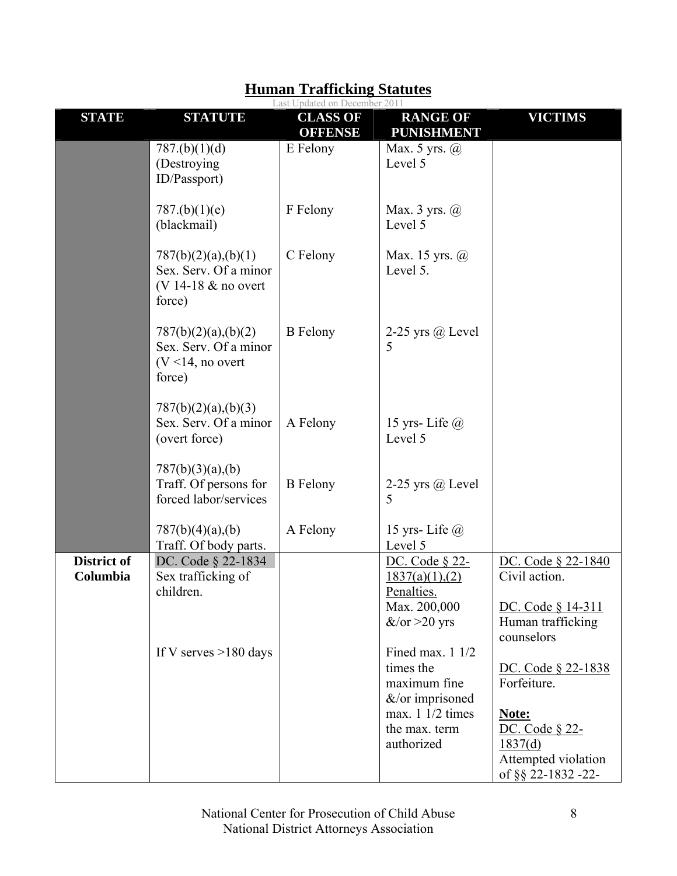|                                |                                                                                | Last Updated on December 2011     |                                                                    |                                                                                 |
|--------------------------------|--------------------------------------------------------------------------------|-----------------------------------|--------------------------------------------------------------------|---------------------------------------------------------------------------------|
| <b>STATE</b>                   | <b>STATUTE</b>                                                                 | <b>CLASS OF</b><br><b>OFFENSE</b> | <b>RANGE OF</b><br><b>PUNISHMENT</b>                               | <b>VICTIMS</b>                                                                  |
|                                | 787.(b)(1)(d)<br>(Destroying)<br>ID/Passport)                                  | E Felony                          | Max. 5 yrs. $\omega$<br>Level 5                                    |                                                                                 |
|                                | 787.(b)(1)(e)<br>(blackmail)                                                   | F Felony                          | Max. $3$ yrs. $\omega$<br>Level 5                                  |                                                                                 |
|                                | 787(b)(2)(a),(b)(1)<br>Sex. Serv. Of a minor<br>(V 14-18 & no overt<br>force)  | C Felony                          | Max. 15 yrs. @<br>Level 5.                                         |                                                                                 |
|                                | 787(b)(2)(a),(b)(2)<br>Sex. Serv. Of a minor<br>$(V < 14$ , no overt<br>force) | <b>B</b> Felony                   | 2-25 yrs $(a)$ Level<br>5                                          |                                                                                 |
|                                | 787(b)(2)(a),(b)(3)<br>Sex. Serv. Of a minor<br>(overt force)                  | A Felony                          | 15 yrs-Life $\omega$<br>Level 5                                    |                                                                                 |
|                                | 787(b)(3)(a),(b)<br>Traff. Of persons for<br>forced labor/services             | <b>B</b> Felony                   | 2-25 yrs $\omega$ Level<br>5                                       |                                                                                 |
|                                | 787(b)(4)(a),(b)<br>Traff. Of body parts.                                      | A Felony                          | 15 yrs-Life $@$<br>Level 5                                         |                                                                                 |
| <b>District of</b><br>Columbia | DC. Code § 22-1834<br>Sex trafficking of                                       |                                   | DC. Code § 22-<br>1837(a)(1),(2)                                   | DC. Code § 22-1840<br>Civil action.                                             |
|                                | children.                                                                      |                                   | Penalties.<br>Max. 200,000<br>$&\sqrt{\text{or}} > 20 \text{ yrs}$ | DC. Code § 14-311<br>Human trafficking<br>counselors                            |
|                                | If V serves $>180$ days                                                        |                                   | Fined max. $11/2$<br>times the<br>maximum fine<br>&/or imprisoned  | DC. Code § 22-1838<br>Forfeiture.                                               |
|                                |                                                                                |                                   | max. $11/2$ times<br>the max. term<br>authorized                   | Note:<br>DC. Code § 22-<br>1837(d)<br>Attempted violation<br>of §§ 22-1832 -22- |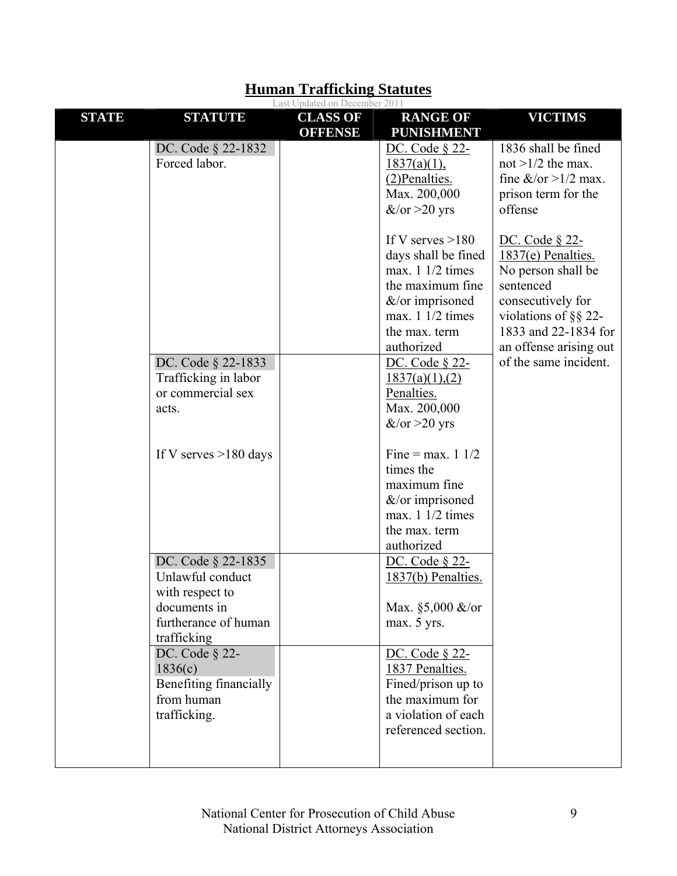|              |                         | Last Updated on December 2011     |                                      |                              |
|--------------|-------------------------|-----------------------------------|--------------------------------------|------------------------------|
| <b>STATE</b> | <b>STATUTE</b>          | <b>CLASS OF</b><br><b>OFFENSE</b> | <b>RANGE OF</b><br><b>PUNISHMENT</b> | <b>VICTIMS</b>               |
|              | DC. Code § 22-1832      |                                   | DC. Code § 22-                       | 1836 shall be fined          |
|              | Forced labor.           |                                   | $1837(a)(1)$ ,                       | not $>1/2$ the max.          |
|              |                         |                                   | (2) Penalties.                       | fine $&\sqrt{or} > 1/2$ max. |
|              |                         |                                   | Max. 200,000                         | prison term for the          |
|              |                         |                                   | $&\sqrt{\text{or}} > 20 \text{ yrs}$ | offense                      |
|              |                         |                                   |                                      |                              |
|              |                         |                                   | If V serves $>180$                   | DC. Code § 22-               |
|              |                         |                                   | days shall be fined                  | $1837(e)$ Penalties.         |
|              |                         |                                   | max. $11/2$ times                    | No person shall be           |
|              |                         |                                   | the maximum fine                     | sentenced                    |
|              |                         |                                   | $&\ell$ or imprisoned                | consecutively for            |
|              |                         |                                   | max. $11/2$ times                    | violations of $\S$ § 22-     |
|              |                         |                                   | the max. term                        | 1833 and 22-1834 for         |
|              |                         |                                   | authorized                           | an offense arising out       |
|              | DC. Code § 22-1833      |                                   | DC. Code § 22-                       | of the same incident.        |
|              | Trafficking in labor    |                                   | 1837(a)(1),(2)                       |                              |
|              | or commercial sex       |                                   | Penalties.                           |                              |
|              | acts.                   |                                   | Max. 200,000                         |                              |
|              |                         |                                   | $&\sqrt{\text{or}} > 20 \text{ yrs}$ |                              |
|              |                         |                                   |                                      |                              |
|              | If V serves $>180$ days |                                   | Fine = max. $1 \frac{1}{2}$          |                              |
|              |                         |                                   | times the                            |                              |
|              |                         |                                   | maximum fine                         |                              |
|              |                         |                                   | $&\ell$ or imprisoned                |                              |
|              |                         |                                   | max. $11/2$ times                    |                              |
|              |                         |                                   | the max. term                        |                              |
|              |                         |                                   | authorized                           |                              |
|              | DC. Code § 22-1835      |                                   | DC. Code § 22-                       |                              |
|              | Unlawful conduct        |                                   | 1837(b) Penalties.                   |                              |
|              | with respect to         |                                   |                                      |                              |
|              | documents in            |                                   | Max. §5,000 &/or                     |                              |
|              | furtherance of human    |                                   | max. 5 yrs.                          |                              |
|              | trafficking             |                                   |                                      |                              |
|              | DC. Code § 22-          |                                   | DC. Code § 22-                       |                              |
|              | 1836(c)                 |                                   | 1837 Penalties.                      |                              |
|              | Benefiting financially  |                                   | Fined/prison up to                   |                              |
|              | from human              |                                   | the maximum for                      |                              |
|              | trafficking.            |                                   | a violation of each                  |                              |
|              |                         |                                   | referenced section.                  |                              |
|              |                         |                                   |                                      |                              |
|              |                         |                                   |                                      |                              |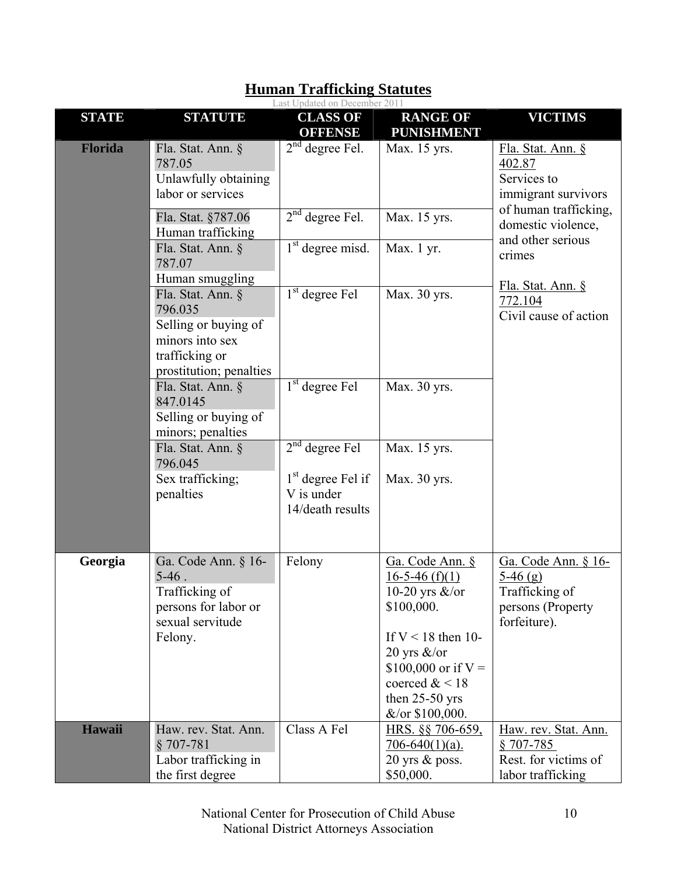|                |                                                                                                          | Last Updated on December 2011                         |                                                                                                           |                                                                                                   |
|----------------|----------------------------------------------------------------------------------------------------------|-------------------------------------------------------|-----------------------------------------------------------------------------------------------------------|---------------------------------------------------------------------------------------------------|
| <b>STATE</b>   | <b>STATUTE</b>                                                                                           | <b>CLASS OF</b><br><b>OFFENSE</b>                     | <b>RANGE OF</b><br><b>PUNISHMENT</b>                                                                      | <b>VICTIMS</b>                                                                                    |
| <b>Florida</b> | Fla. Stat. Ann. §<br>787.05<br>Unlawfully obtaining<br>labor or services                                 | $2nd$ degree Fel.                                     | Max. 15 yrs.                                                                                              | Fla. Stat. Ann. §<br>402.87<br>Services to<br>immigrant survivors                                 |
|                | Fla. Stat. §787.06<br>Human trafficking                                                                  | $2nd$ degree Fel.                                     | Max. 15 yrs.                                                                                              | of human trafficking,<br>domestic violence,                                                       |
|                | Fla. Stat. Ann. §<br>787.07                                                                              | $1st$ degree misd.                                    | Max. 1 yr.                                                                                                | and other serious<br>crimes                                                                       |
|                | Human smuggling<br>Fla. Stat. Ann. §<br>796.035                                                          | 1 <sup>st</sup> degree Fel                            | Max. 30 yrs.                                                                                              | Fla. Stat. Ann. §<br>772.104<br>Civil cause of action                                             |
|                | Selling or buying of<br>minors into sex<br>trafficking or<br>prostitution; penalties                     |                                                       |                                                                                                           |                                                                                                   |
|                | Fla. Stat. Ann. §<br>847.0145<br>Selling or buying of                                                    | $1st$ degree Fel                                      | Max. 30 yrs.                                                                                              |                                                                                                   |
|                | minors; penalties<br>Fla. Stat. Ann. §<br>796.045                                                        | $2nd$ degree Fel                                      | Max. 15 yrs.                                                                                              |                                                                                                   |
|                | Sex trafficking;<br>penalties                                                                            | $1st$ degree Fel if<br>V is under<br>14/death results | Max. 30 yrs.                                                                                              |                                                                                                   |
| Georgia        | Ga. Code Ann. § 16-<br>$5-46$ .<br>Trafficking of<br>persons for labor or<br>sexual servitude<br>Felony. | Felony                                                | Ga. Code Ann. §<br>$16-5-46(f)(1)$<br>10-20 yrs $\&$ /or<br>\$100,000.<br>If $V < 18$ then 10-            | Ga. Code Ann. § 16-<br>$\frac{5-46(g)}{g}$<br>Trafficking of<br>persons (Property<br>forfeiture). |
|                |                                                                                                          |                                                       | 20 yrs $\&$ /or<br>\$100,000 or if $V =$<br>coerced $< 18$<br>then $25-50$ yrs<br>$&\sqrt{or}$ \$100,000. |                                                                                                   |
| Hawaii         | Haw. rev. Stat. Ann.<br>$§ 707-781$<br>Labor trafficking in<br>the first degree                          | Class A Fel                                           | HRS. §§ 706-659,<br>$706-640(1)(a)$ .<br>20 yrs $\&$ poss.<br>\$50,000.                                   | Haw. rev. Stat. Ann.<br><u>§ 707-785</u><br>Rest. for victims of<br>labor trafficking             |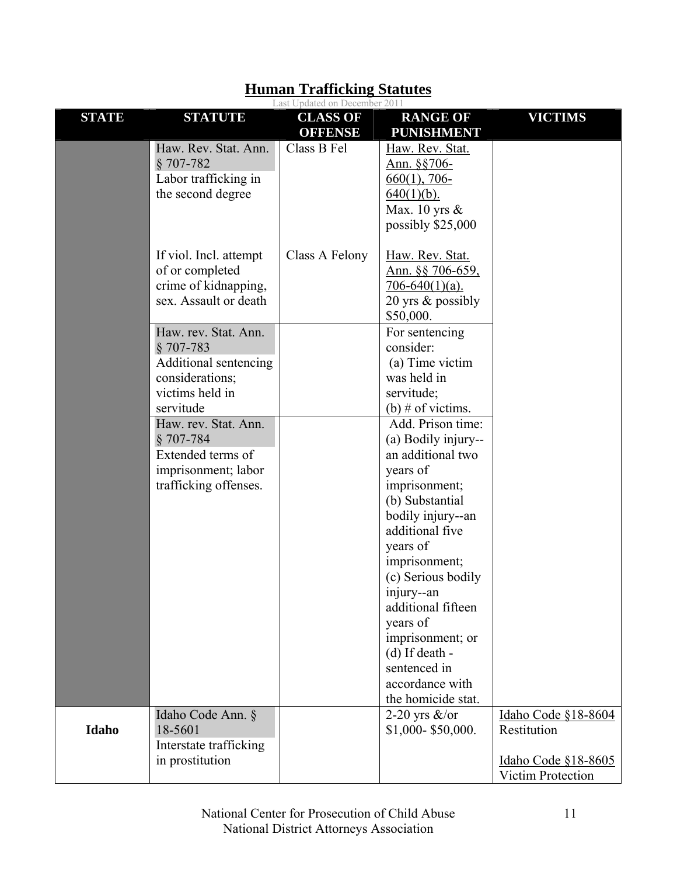|              |                                                                                                                 | Last Updated on December 2011     |                                                                                                                                                                                                                                                                                                                                     |                                                                                |
|--------------|-----------------------------------------------------------------------------------------------------------------|-----------------------------------|-------------------------------------------------------------------------------------------------------------------------------------------------------------------------------------------------------------------------------------------------------------------------------------------------------------------------------------|--------------------------------------------------------------------------------|
| <b>STATE</b> | <b>STATUTE</b>                                                                                                  | <b>CLASS OF</b><br><b>OFFENSE</b> | <b>RANGE OF</b><br><b>PUNISHMENT</b>                                                                                                                                                                                                                                                                                                | <b>VICTIMS</b>                                                                 |
|              | Haw. Rev. Stat. Ann.<br>$$707-782$<br>Labor trafficking in<br>the second degree                                 | Class B Fel                       | Haw. Rev. Stat.<br>Ann. §§706-<br>$660(1)$ , 706-<br>$640(1)(b)$ .<br>Max. 10 yrs $\&$<br>possibly \$25,000                                                                                                                                                                                                                         |                                                                                |
|              | If viol. Incl. attempt<br>of or completed<br>crime of kidnapping,<br>sex. Assault or death                      | Class A Felony                    | Haw. Rev. Stat.<br>Ann. §§ 706-659,<br>$706-640(1)(a)$ .<br>20 yrs $\&$ possibly<br>\$50,000.                                                                                                                                                                                                                                       |                                                                                |
|              | Haw. rev. Stat. Ann.<br>$§ 707-783$<br>Additional sentencing<br>considerations;<br>victims held in<br>servitude |                                   | For sentencing<br>consider:<br>(a) Time victim<br>was held in<br>servitude;<br>(b) # of victims.                                                                                                                                                                                                                                    |                                                                                |
|              | Haw. rev. Stat. Ann.<br>$$707-784$<br>Extended terms of<br>imprisonment; labor<br>trafficking offenses.         |                                   | Add. Prison time:<br>(a) Bodily injury--<br>an additional two<br>years of<br>imprisonment;<br>(b) Substantial<br>bodily injury--an<br>additional five<br>years of<br>imprisonment;<br>(c) Serious bodily<br>injury--an<br>additional fifteen<br>years of<br>imprisonment; or<br>$(d)$ If death -<br>sentenced in<br>accordance with |                                                                                |
| Idaho        | Idaho Code Ann. §<br>18-5601<br>Interstate trafficking<br>in prostitution                                       |                                   | the homicide stat.<br>2-20 yrs $\&$ /or<br>\$1,000-\$50,000.                                                                                                                                                                                                                                                                        | Idaho Code §18-8604<br>Restitution<br>Idaho Code §18-8605<br>Victim Protection |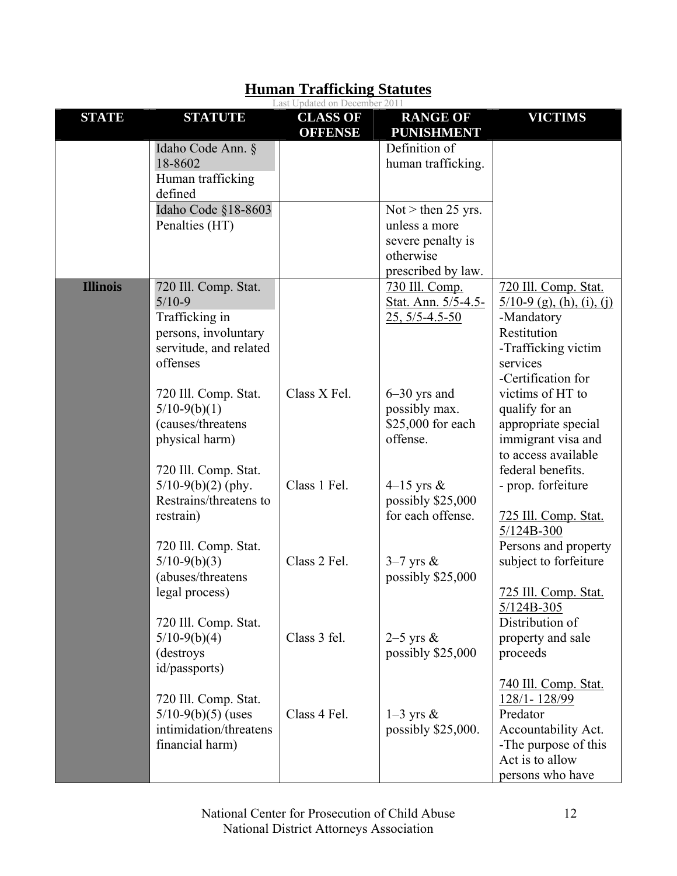|                 |                                                                                                                  | Last Updated on December 2011     |                                                                                               |                                                                                                                                                   |
|-----------------|------------------------------------------------------------------------------------------------------------------|-----------------------------------|-----------------------------------------------------------------------------------------------|---------------------------------------------------------------------------------------------------------------------------------------------------|
| <b>STATE</b>    | <b>STATUTE</b>                                                                                                   | <b>CLASS OF</b><br><b>OFFENSE</b> | <b>RANGE OF</b><br><b>PUNISHMENT</b>                                                          | <b>VICTIMS</b>                                                                                                                                    |
|                 | Idaho Code Ann. §<br>18-8602<br>Human trafficking<br>defined                                                     |                                   | Definition of<br>human trafficking.                                                           |                                                                                                                                                   |
|                 | Idaho Code §18-8603<br>Penalties (HT)                                                                            |                                   | Not $>$ then 25 yrs.<br>unless a more<br>severe penalty is<br>otherwise<br>prescribed by law. |                                                                                                                                                   |
| <b>Illinois</b> | 720 Ill. Comp. Stat.<br>$5/10-9$<br>Trafficking in<br>persons, involuntary<br>servitude, and related<br>offenses |                                   | 730 Ill. Comp.<br>Stat. Ann. 5/5-4.5-<br>$25, 5/5 - 4.5 - 50$                                 | 720 Ill. Comp. Stat.<br>$\frac{5}{10-9}$ (g), (h), (i), (i)<br>-Mandatory<br>Restitution<br>-Trafficking victim<br>services<br>-Certification for |
|                 | 720 Ill. Comp. Stat.<br>$5/10-9(b)(1)$<br>(causes/threatens<br>physical harm)<br>720 Ill. Comp. Stat.            | Class X Fel.                      | $6 - 30$ yrs and<br>possibly max.<br>\$25,000 for each<br>offense.                            | victims of HT to<br>qualify for an<br>appropriate special<br>immigrant visa and<br>to access available<br>federal benefits.                       |
|                 | $5/10-9(b)(2)$ (phy.<br>Restrains/threatens to<br>restrain)                                                      | Class 1 Fel.                      | 4–15 yrs $\&$<br>possibly \$25,000<br>for each offense.                                       | - prop. forfeiture<br>725 Ill. Comp. Stat.<br>$5/124B-300$                                                                                        |
|                 | 720 Ill. Comp. Stat.<br>$5/10-9(b)(3)$<br>(abuses/threatens<br>legal process)                                    | Class 2 Fel.                      | $3-7$ yrs &<br>possibly \$25,000                                                              | Persons and property<br>subject to forfeiture<br>725 Ill. Comp. Stat.<br>$5/124B-305$                                                             |
|                 | 720 Ill. Comp. Stat.<br>$5/10-9(b)(4)$<br>(destroys)<br>id/passports)                                            | Class 3 fel.                      | $2-5$ yrs $\&$<br>possibly \$25,000                                                           | Distribution of<br>property and sale<br>proceeds                                                                                                  |
|                 | 720 Ill. Comp. Stat.<br>$5/10-9(b)(5)$ (uses<br>intimidation/threatens<br>financial harm)                        | Class 4 Fel.                      | $1-3$ yrs &<br>possibly \$25,000.                                                             | 740 Ill. Comp. Stat.<br>128/1-128/99<br>Predator<br>Accountability Act.<br>-The purpose of this<br>Act is to allow<br>persons who have            |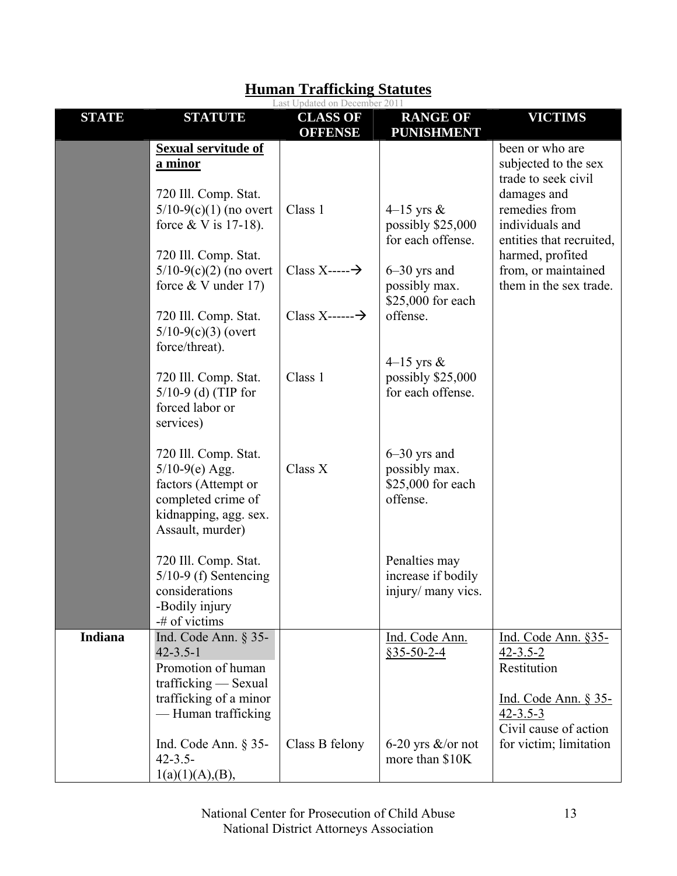|                |                                                                                                                                                                                                                                | Last Updated on December 2011                                              |                                                                                                                             |                                                                                                                                                                                                                    |
|----------------|--------------------------------------------------------------------------------------------------------------------------------------------------------------------------------------------------------------------------------|----------------------------------------------------------------------------|-----------------------------------------------------------------------------------------------------------------------------|--------------------------------------------------------------------------------------------------------------------------------------------------------------------------------------------------------------------|
| <b>STATE</b>   | <b>STATUTE</b>                                                                                                                                                                                                                 | <b>CLASS OF</b><br><b>OFFENSE</b>                                          | <b>RANGE OF</b><br><b>PUNISHMENT</b>                                                                                        | <b>VICTIMS</b>                                                                                                                                                                                                     |
|                | <b>Sexual servitude of</b><br><u>a minor</u><br>720 Ill. Comp. Stat.<br>$5/10-9(c)(1)$ (no overt<br>force $&V$ is 17-18).<br>720 Ill. Comp. Stat.<br>$5/10-9(c)(2)$ (no overt<br>force $&$ V under 17)<br>720 Ill. Comp. Stat. | Class 1<br>Class $X$ ----- $\rightarrow$<br>Class $X$ ------ $\rightarrow$ | 4–15 yrs $\&$<br>possibly \$25,000<br>for each offense.<br>$6-30$ yrs and<br>possibly max.<br>\$25,000 for each<br>offense. | been or who are<br>subjected to the sex<br>trade to seek civil<br>damages and<br>remedies from<br>individuals and<br>entities that recruited,<br>harmed, profited<br>from, or maintained<br>them in the sex trade. |
|                | $5/10-9(c)(3)$ (overt<br>force/threat).                                                                                                                                                                                        |                                                                            | 4–15 yrs $\&$                                                                                                               |                                                                                                                                                                                                                    |
|                | 720 Ill. Comp. Stat.<br>$5/10-9$ (d) (TIP for<br>forced labor or<br>services)                                                                                                                                                  | Class 1                                                                    | possibly \$25,000<br>for each offense.                                                                                      |                                                                                                                                                                                                                    |
|                | 720 Ill. Comp. Stat.<br>$5/10-9(e)$ Agg.<br>factors (Attempt or<br>completed crime of<br>kidnapping, agg. sex.<br>Assault, murder)                                                                                             | Class X                                                                    | $6-30$ yrs and<br>possibly max.<br>\$25,000 for each<br>offense.                                                            |                                                                                                                                                                                                                    |
|                | 720 Ill. Comp. Stat.<br>$5/10-9$ (f) Sentencing<br>considerations<br>-Bodily injury<br>-# of victims                                                                                                                           |                                                                            | Penalties may<br>increase if bodily<br>injury/ many vics.                                                                   |                                                                                                                                                                                                                    |
| <b>Indiana</b> | Ind. Code Ann. $\S$ 35-<br>$42 - 3.5 - 1$<br>Promotion of human<br>$trafficking$ - Sexual<br>trafficking of a minor<br>-Human trafficking                                                                                      |                                                                            | Ind. Code Ann.<br>$$35-50-2-4$                                                                                              | Ind. Code Ann. §35-<br>$42 - 3.5 - 2$<br>Restitution<br>Ind. Code Ann. § 35-<br>$42 - 3.5 - 3$<br>Civil cause of action                                                                                            |
|                | Ind. Code Ann. $\S$ 35-<br>$42 - 3.5 -$<br>1(a)(1)(A),(B),                                                                                                                                                                     | Class B felony                                                             | 6-20 yrs $\&$ /or not<br>more than \$10K                                                                                    | for victim; limitation                                                                                                                                                                                             |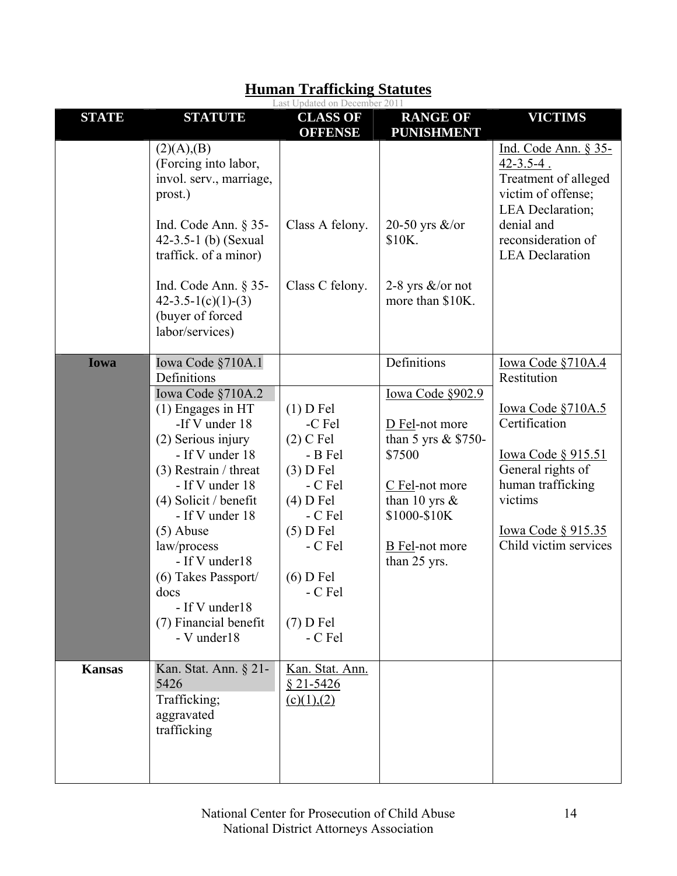|               |                                                                                                                                                                                                                                                                                                                             | Last Updated on December 2011                                                                                                                                          |                                                                                                                                                                    |                                                                                                                                                                                        |
|---------------|-----------------------------------------------------------------------------------------------------------------------------------------------------------------------------------------------------------------------------------------------------------------------------------------------------------------------------|------------------------------------------------------------------------------------------------------------------------------------------------------------------------|--------------------------------------------------------------------------------------------------------------------------------------------------------------------|----------------------------------------------------------------------------------------------------------------------------------------------------------------------------------------|
| <b>STATE</b>  | <b>STATUTE</b>                                                                                                                                                                                                                                                                                                              | <b>CLASS OF</b><br><b>OFFENSE</b>                                                                                                                                      | <b>RANGE OF</b><br><b>PUNISHMENT</b>                                                                                                                               | <b>VICTIMS</b>                                                                                                                                                                         |
|               | (2)(A),(B)<br>(Forcing into labor,<br>invol. serv., marriage,<br>prost.)<br>Ind. Code Ann. $\S$ 35-<br>42-3.5-1 (b) (Sexual<br>traffick. of a minor)<br>Ind. Code Ann. $\S$ 35-<br>$42 - 3.5 - 1(c)(1) - (3)$                                                                                                               | Class A felony.<br>Class C felony.                                                                                                                                     | 20-50 yrs $\&$ /or<br>\$10K.<br>2-8 yrs $\&$ /or not<br>more than \$10K.                                                                                           | <u>Ind. Code Ann. § 35-</u><br>$42 - 3.5 - 4$ .<br>Treatment of alleged<br>victim of offense;<br><b>LEA</b> Declaration;<br>denial and<br>reconsideration of<br><b>LEA</b> Declaration |
|               | (buyer of forced<br>labor/services)                                                                                                                                                                                                                                                                                         |                                                                                                                                                                        |                                                                                                                                                                    |                                                                                                                                                                                        |
| Iowa          | Iowa Code §710A.1<br>Definitions                                                                                                                                                                                                                                                                                            |                                                                                                                                                                        | Definitions                                                                                                                                                        | Iowa Code §710A.4<br>Restitution                                                                                                                                                       |
|               | Iowa Code §710A.2<br>$(1)$ Engages in HT<br>-If V under 18<br>(2) Serious injury<br>- If V under 18<br>$(3)$ Restrain / threat<br>- If V under 18<br>$(4)$ Solicit / benefit<br>- If V under 18<br>$(5)$ Abuse<br>law/process<br>- If V under18<br>$(6)$ Takes Passport/<br>docs<br>- If V under18<br>(7) Financial benefit | $(1)$ D Fel<br>-C Fel<br>$(2)$ C Fel<br>- B Fel<br>$(3)$ D Fel<br>- C Fel<br>$(4)$ D Fel<br>- C Fel<br>$(5)$ D Fel<br>- C Fel<br>$(6)$ D Fel<br>- C Fel<br>$(7)$ D Fel | Iowa Code §902.9<br>D Fel-not more<br>than 5 yrs & \$750-<br>\$7500<br>C Fel-not more<br>than 10 yrs $\&$<br>\$1000-\$10K<br><b>B</b> Fel-not more<br>than 25 yrs. | <u>Iowa Code §710A.5</u><br>Certification<br><u>Iowa Code § 915.51</u><br>General rights of<br>human trafficking<br>victims<br><u>Iowa Code § 915.35</u><br>Child victim services      |
|               | - V under18                                                                                                                                                                                                                                                                                                                 | - C Fel                                                                                                                                                                |                                                                                                                                                                    |                                                                                                                                                                                        |
| <b>Kansas</b> | Kan. Stat. Ann. § 21-<br>5426<br>Trafficking;<br>aggravated<br>trafficking                                                                                                                                                                                                                                                  | Kan. Stat. Ann.<br>$§$ 21-5426<br>(c)(1),(2)                                                                                                                           |                                                                                                                                                                    |                                                                                                                                                                                        |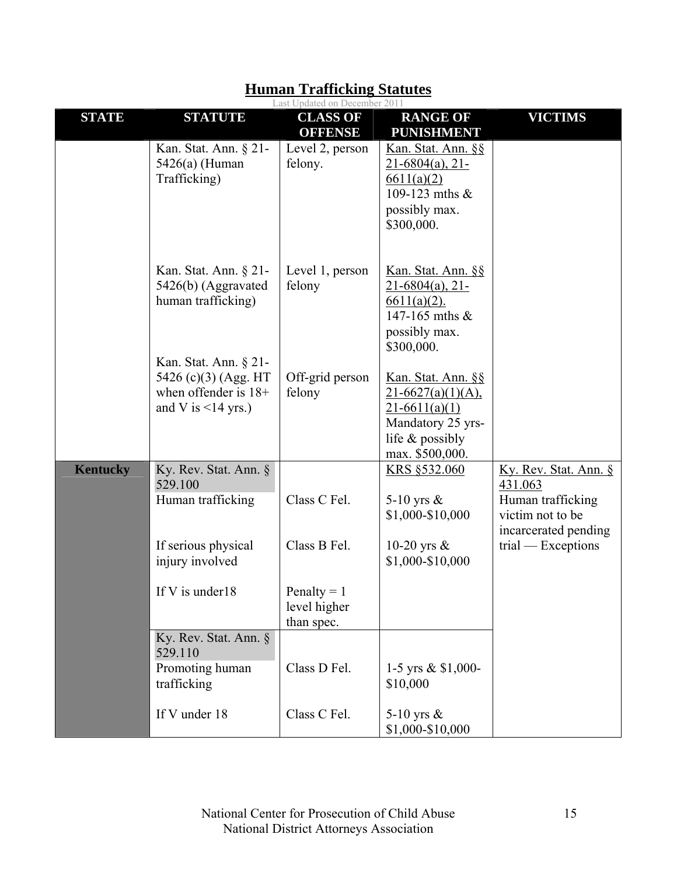|                 | Last Updated on December 2011                                                                       |                                             |                                                                                                                          |                                                                                                                           |  |
|-----------------|-----------------------------------------------------------------------------------------------------|---------------------------------------------|--------------------------------------------------------------------------------------------------------------------------|---------------------------------------------------------------------------------------------------------------------------|--|
| <b>STATE</b>    | <b>STATUTE</b>                                                                                      | <b>CLASS OF</b><br><b>OFFENSE</b>           | <b>RANGE OF</b><br><b>PUNISHMENT</b>                                                                                     | <b>VICTIMS</b>                                                                                                            |  |
|                 | Kan. Stat. Ann. § 21-<br>5426(a) (Human<br>Trafficking)                                             | Level 2, person<br>felony.                  | Kan. Stat. Ann. §§<br>$21-6804(a)$ , 21-<br>6611(a)(2)<br>109-123 mths &<br>possibly max.<br>\$300,000.                  |                                                                                                                           |  |
|                 | Kan. Stat. Ann. § 21-<br>5426(b) (Aggravated<br>human trafficking)                                  | Level 1, person<br>felony                   | Kan. Stat. Ann. §§<br>$21-6804(a), 21-$<br>$6611(a)(2)$ .<br>147-165 mths $&$<br>possibly max.<br>\$300,000.             |                                                                                                                           |  |
|                 | Kan. Stat. Ann. § 21-<br>5426 (c)(3) (Agg. HT<br>when offender is $18+$<br>and V is $\leq$ 14 yrs.) | Off-grid person<br>felony                   | Kan. Stat. Ann. §§<br>$21-6627(a)(1)(A)$ ,<br>$21-6611(a)(1)$<br>Mandatory 25 yrs-<br>life & possibly<br>max. \$500,000. |                                                                                                                           |  |
| <b>Kentucky</b> | Ky. Rev. Stat. Ann. §<br>529.100<br>Human trafficking<br>If serious physical                        | Class C Fel.<br>Class B Fel.                | KRS §532.060<br>5-10 yrs $\&$<br>\$1,000-\$10,000<br>10-20 yrs $\&$                                                      | Ky. Rev. Stat. Ann. §<br>431.063<br>Human trafficking<br>victim not to be<br>incarcerated pending<br>$trial - Exceptions$ |  |
|                 | injury involved<br>If V is under 18                                                                 | Penalty = $1$<br>level higher<br>than spec. | \$1,000-\$10,000                                                                                                         |                                                                                                                           |  |
|                 | Ky. Rev. Stat. Ann. §<br>529.110<br>Promoting human<br>trafficking                                  | Class D Fel.                                | 1-5 yrs & \$1,000-<br>\$10,000                                                                                           |                                                                                                                           |  |
|                 | If V under 18                                                                                       | Class C Fel.                                | 5-10 yrs $\&$<br>\$1,000-\$10,000                                                                                        |                                                                                                                           |  |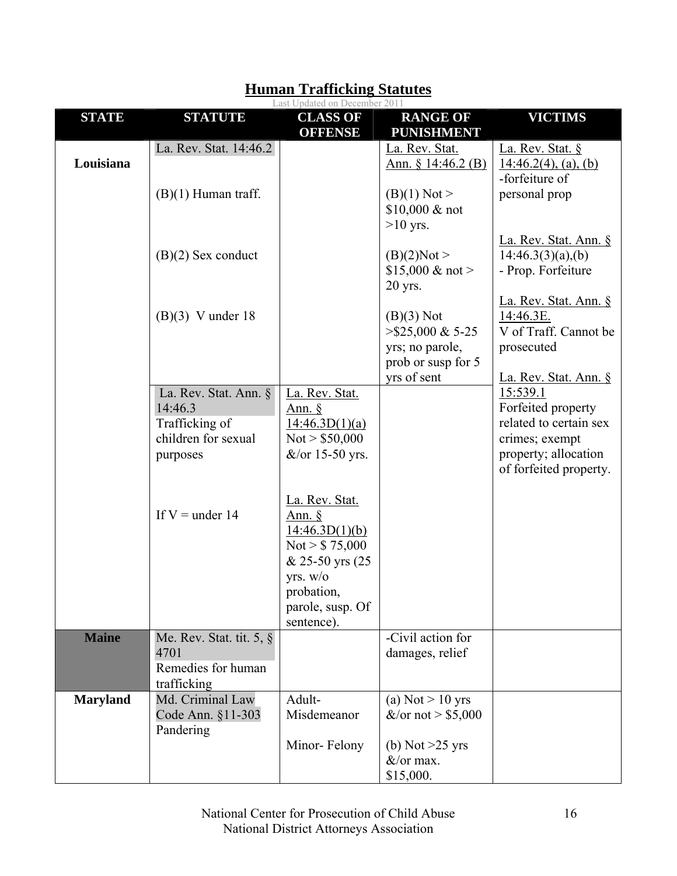|                 |                                                                                       | Last Updated on December 2011                                                                                                                       |                                                                                             |                                                                                                                              |
|-----------------|---------------------------------------------------------------------------------------|-----------------------------------------------------------------------------------------------------------------------------------------------------|---------------------------------------------------------------------------------------------|------------------------------------------------------------------------------------------------------------------------------|
| <b>STATE</b>    | <b>STATUTE</b>                                                                        | <b>CLASS OF</b><br><b>OFFENSE</b>                                                                                                                   | <b>RANGE OF</b><br><b>PUNISHMENT</b>                                                        | <b>VICTIMS</b>                                                                                                               |
| Louisiana       | La. Rev. Stat. 14:46.2                                                                |                                                                                                                                                     | La. Rev. Stat.<br>Ann. $§ 14:46.2(B)$                                                       | La. Rev. Stat. §<br>$14:46.2(4)$ , (a), (b)<br>-forfeiture of                                                                |
|                 | $(B)(1)$ Human traff.                                                                 |                                                                                                                                                     | $(B)(1)$ Not ><br>$$10,000 \& \text{not}$<br>$>10$ yrs.                                     | personal prop                                                                                                                |
|                 | $(B)(2)$ Sex conduct                                                                  |                                                                                                                                                     | (B)(2)Not<br>\$15,000 & not ><br>$20$ yrs.                                                  | La. Rev. Stat. Ann. §<br>14:46.3(3)(a),(b)<br>- Prop. Forfeiture                                                             |
|                 | $(B)(3)$ V under 18                                                                   |                                                                                                                                                     | $(B)(3)$ Not<br>$>$ \$25,000 & 5-25<br>yrs; no parole,<br>prob or susp for 5<br>yrs of sent | La. Rev. Stat. Ann. §<br>14:46.3E.<br>V of Traff. Cannot be<br>prosecuted<br>La. Rev. Stat. Ann. §                           |
|                 | La. Rev. Stat. Ann. §<br>14:46.3<br>Trafficking of<br>children for sexual<br>purposes | La. Rev. Stat.<br>Ann. $§$<br>14:46.3D(1)(a)<br>Not $> $50,000$<br>$&\text{/or}$ 15-50 yrs.                                                         |                                                                                             | 15:539.1<br>Forfeited property<br>related to certain sex<br>crimes; exempt<br>property; allocation<br>of forfeited property. |
|                 | If $V =$ under 14                                                                     | La. Rev. Stat.<br>Ann. $\oint$<br>14:46.3D(1)(b)<br>Not $> $75,000$<br>& 25-50 yrs (25)<br>yrs. w/o<br>probation.<br>parole, susp. Of<br>sentence). |                                                                                             |                                                                                                                              |
| <b>Maine</b>    | Me. Rev. Stat. tit. 5, §<br>4701<br>Remedies for human<br>trafficking                 |                                                                                                                                                     | -Civil action for<br>damages, relief                                                        |                                                                                                                              |
| <b>Maryland</b> | Md. Criminal Law<br>Code Ann. §11-303<br>Pandering                                    | Adult-<br>Misdemeanor                                                                                                                               | (a) Not $> 10$ yrs<br>&/or not > $$5,000$                                                   |                                                                                                                              |
|                 |                                                                                       | Minor-Felony                                                                                                                                        | (b) Not $>25$ yrs<br>$&\sqrt{\text{or max}}$ .<br>\$15,000.                                 |                                                                                                                              |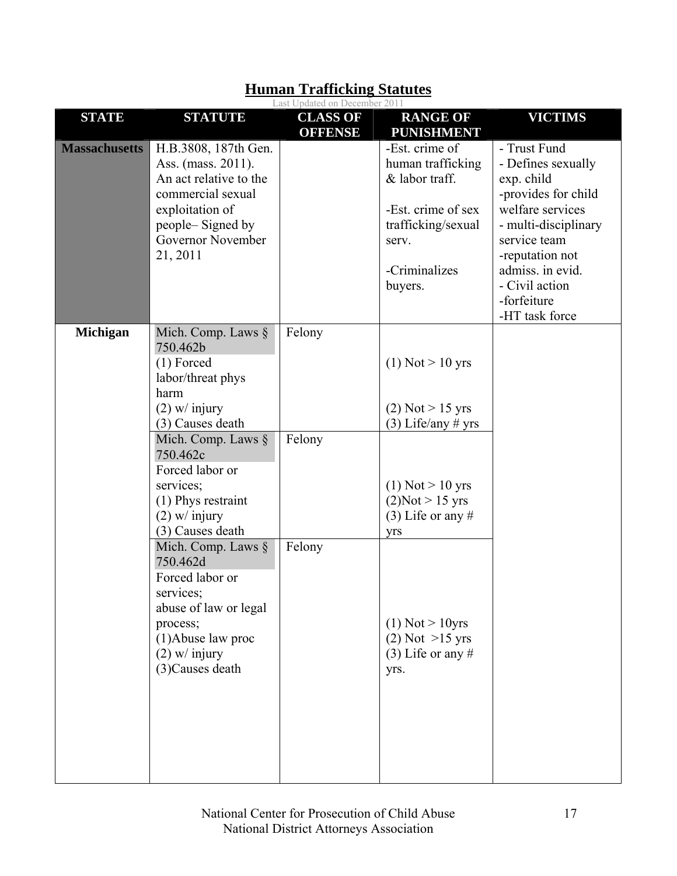|                                                                                                                                                                                                                                                                                                                                                                                                                               | Last Updated on December 2011 |                                                                                                                                                                                                                                          |                                                                                                                                                                                                                               |
|-------------------------------------------------------------------------------------------------------------------------------------------------------------------------------------------------------------------------------------------------------------------------------------------------------------------------------------------------------------------------------------------------------------------------------|-------------------------------|------------------------------------------------------------------------------------------------------------------------------------------------------------------------------------------------------------------------------------------|-------------------------------------------------------------------------------------------------------------------------------------------------------------------------------------------------------------------------------|
| <b>STATUTE</b>                                                                                                                                                                                                                                                                                                                                                                                                                | <b>CLASS OF</b>               | <b>RANGE OF</b>                                                                                                                                                                                                                          | <b>VICTIMS</b>                                                                                                                                                                                                                |
| H.B.3808, 187th Gen.<br>Ass. (mass. 2011).<br>An act relative to the<br>commercial sexual<br>exploitation of<br>people-Signed by<br>Governor November<br>21, 2011                                                                                                                                                                                                                                                             |                               | -Est. crime of<br>human trafficking<br>& labor traff.<br>-Est. crime of sex<br>trafficking/sexual<br>serv.<br>-Criminalizes<br>buyers.                                                                                                   | - Trust Fund<br>- Defines sexually<br>exp. child<br>-provides for child<br>welfare services<br>- multi-disciplinary<br>service team<br>-reputation not<br>admiss. in evid.<br>- Civil action<br>-forfeiture<br>-HT task force |
| Mich. Comp. Laws $\S$<br>750.462b<br>$(1)$ Forced<br>labor/threat phys<br>harm<br>$(2)$ w/ injury<br>(3) Causes death<br>Mich. Comp. Laws $\S$<br>750.462c<br>Forced labor or<br>services;<br>(1) Phys restraint<br>$(2)$ w/ injury<br>(3) Causes death<br>Mich. Comp. Laws §<br>750.462d<br>Forced labor or<br>services;<br>abuse of law or legal<br>process;<br>$(1)$ Abuse law proc<br>$(2)$ w/ injury<br>(3) Causes death | Felony<br>Felony<br>Felony    | $(1)$ Not $> 10$ yrs<br>$(2)$ Not > 15 yrs<br>$(3)$ Life/any # yrs<br>$(1)$ Not $> 10$ yrs<br>(2)Not > 15 yrs<br>$(3)$ Life or any #<br><b>V<sub>rs</sub></b><br>$(1)$ Not > 10yrs<br>$(2)$ Not $>15$ yrs<br>$(3)$ Life or any #<br>yrs. |                                                                                                                                                                                                                               |
|                                                                                                                                                                                                                                                                                                                                                                                                                               |                               | <b>OFFENSE</b>                                                                                                                                                                                                                           | <b>PUNISHMENT</b>                                                                                                                                                                                                             |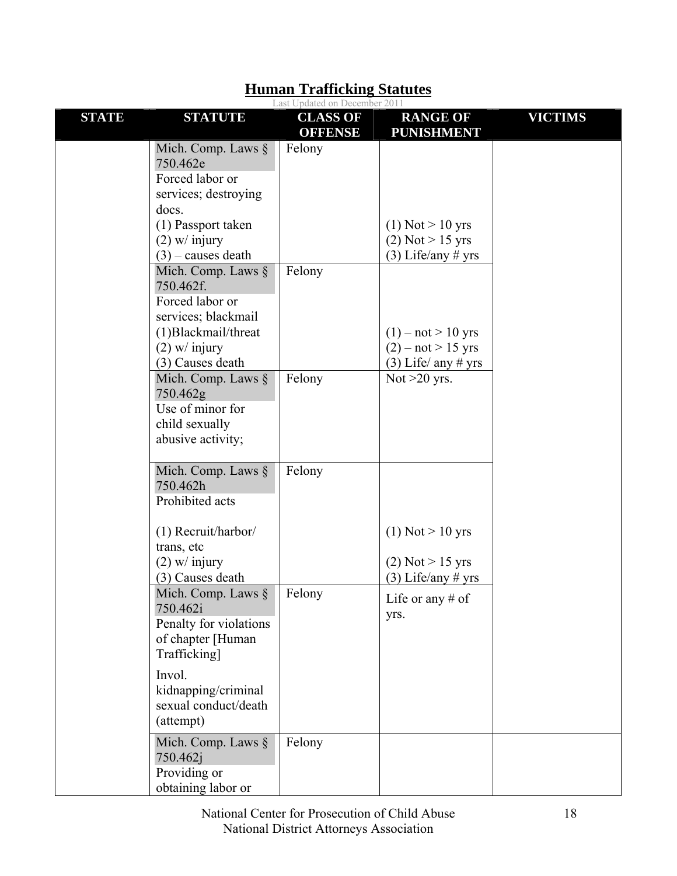|              |                                                                                                                    | Last Updated on December 2011     |                                                                       |                |
|--------------|--------------------------------------------------------------------------------------------------------------------|-----------------------------------|-----------------------------------------------------------------------|----------------|
| <b>STATE</b> | <b>STATUTE</b>                                                                                                     | <b>CLASS OF</b><br><b>OFFENSE</b> | <b>RANGE OF</b><br><b>PUNISHMENT</b>                                  | <b>VICTIMS</b> |
|              | Mich. Comp. Laws $\S$<br>750.462e<br>Forced labor or<br>services; destroying                                       | Felony                            |                                                                       |                |
|              | docs.<br>(1) Passport taken<br>$(2)$ w/ injury<br>$(3)$ – causes death<br>Mich. Comp. Laws §                       | Felony                            | $(1)$ Not $> 10$ yrs<br>$(2)$ Not > 15 yrs<br>$(3)$ Life/any # yrs    |                |
|              | 750.462f.<br>Forced labor or<br>services; blackmail<br>(1) Blackmail/threat<br>$(2)$ w/ injury<br>(3) Causes death |                                   | $(1) - not > 10$ yrs<br>$(2) - not > 15$ yrs<br>$(3)$ Life/ any # yrs |                |
|              | Mich. Comp. Laws $\S$<br>750.462g<br>Use of minor for<br>child sexually<br>abusive activity;                       | Felony                            | Not $>20$ yrs.                                                        |                |
|              | Mich. Comp. Laws $\S$<br>750.462h<br>Prohibited acts                                                               | Felony                            |                                                                       |                |
|              | (1) Recruit/harbor/<br>trans, etc<br>$(2)$ w/ injury<br>(3) Causes death                                           |                                   | $(1)$ Not $> 10$ yrs<br>$(2)$ Not > 15 yrs<br>$(3)$ Life/any # yrs    |                |
|              | Mich. Comp. Laws §<br>750.462i<br>Penalty for violations<br>of chapter [Human<br>Trafficking]                      | Felony                            | Life or any $#$ of<br>yrs.                                            |                |
|              | Invol.<br>kidnapping/criminal<br>sexual conduct/death<br>(attempt)                                                 |                                   |                                                                       |                |
|              | Mich. Comp. Laws §<br>750.462j<br>Providing or<br>obtaining labor or                                               | Felony                            |                                                                       |                |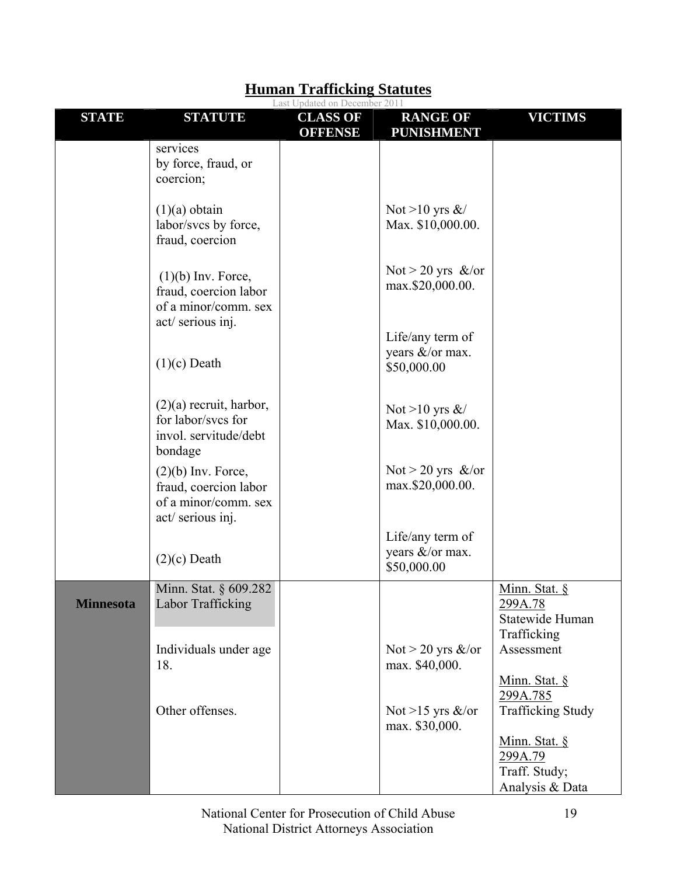|                  |                                                                                            | Last Updated on December 2011     |                                                    |                                                            |
|------------------|--------------------------------------------------------------------------------------------|-----------------------------------|----------------------------------------------------|------------------------------------------------------------|
| <b>STATE</b>     | <b>STATUTE</b>                                                                             | <b>CLASS OF</b><br><b>OFFENSE</b> | <b>RANGE OF</b><br><b>PUNISHMENT</b>               | <b>VICTIMS</b>                                             |
|                  | services<br>by force, fraud, or<br>coercion;                                               |                                   |                                                    |                                                            |
|                  | $(1)(a)$ obtain<br>labor/svcs by force,<br>fraud, coercion                                 |                                   | Not >10 yrs $\&$ /<br>Max. \$10,000.00.            |                                                            |
|                  | $(1)(b)$ Inv. Force,<br>fraud, coercion labor<br>of a minor/comm. sex<br>act/ serious inj. |                                   | Not > 20 yrs $\&$ /or<br>max.\$20,000.00.          |                                                            |
|                  | $(1)(c)$ Death                                                                             |                                   | Life/any term of<br>years &/or max.<br>\$50,000.00 |                                                            |
|                  | $(2)(a)$ recruit, harbor,<br>for labor/svcs for<br>invol. servitude/debt<br>bondage        |                                   | Not >10 yrs $\&$ /<br>Max. \$10,000.00.            |                                                            |
|                  | $(2)(b)$ Inv. Force,<br>fraud, coercion labor<br>of a minor/comm. sex<br>act/ serious inj. |                                   | Not > 20 yrs $\&$ /or<br>max.\$20,000.00.          |                                                            |
|                  | $(2)(c)$ Death                                                                             |                                   | Life/any term of<br>years &/or max.<br>\$50,000.00 |                                                            |
| <b>Minnesota</b> | Minn. Stat. § 609.282<br>Labor Trafficking                                                 |                                   |                                                    | Minn. Stat. §<br>299A.78<br>Statewide Human<br>Trafficking |
|                  | Individuals under age<br>18.                                                               |                                   | Not > 20 yrs $\&$ /or<br>max. \$40,000.            | Assessment<br>Minn. Stat. §                                |
|                  | Other offenses.                                                                            |                                   | Not >15 yrs $\&$ /or<br>max. \$30,000.             | 299A.785<br><b>Trafficking Study</b><br>Minn. Stat. §      |
|                  |                                                                                            |                                   |                                                    | 299A.79<br>Traff. Study;<br>Analysis & Data                |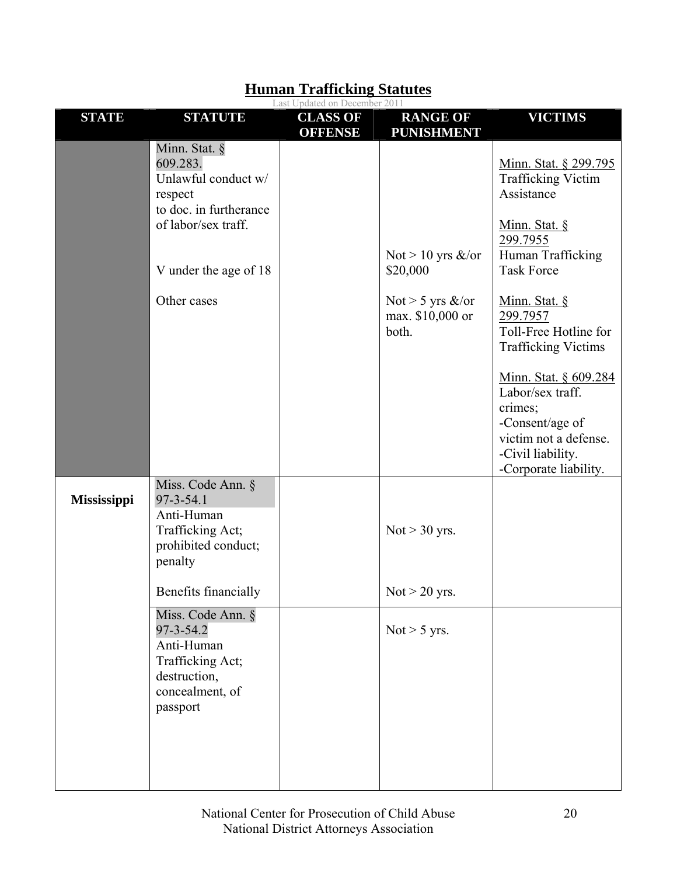|                    |                                                                                                                                                      | Last Updated on December 2011     |                                                                                        |                                                                                                                                                                                                                                                                                                                                                      |
|--------------------|------------------------------------------------------------------------------------------------------------------------------------------------------|-----------------------------------|----------------------------------------------------------------------------------------|------------------------------------------------------------------------------------------------------------------------------------------------------------------------------------------------------------------------------------------------------------------------------------------------------------------------------------------------------|
| <b>STATE</b>       | <b>STATUTE</b>                                                                                                                                       | <b>CLASS OF</b><br><b>OFFENSE</b> | <b>RANGE OF</b><br><b>PUNISHMENT</b>                                                   | <b>VICTIMS</b>                                                                                                                                                                                                                                                                                                                                       |
|                    | Minn. Stat. §<br>609.283.<br>Unlawful conduct w/<br>respect<br>to doc. in furtherance<br>of labor/sex traff.<br>V under the age of 18<br>Other cases |                                   | Not > 10 yrs $\&$ /or<br>\$20,000<br>Not > 5 yrs $\&$ /or<br>max. \$10,000 or<br>both. | Minn. Stat. § 299.795<br><b>Trafficking Victim</b><br>Assistance<br>Minn. Stat. §<br>299.7955<br>Human Trafficking<br><b>Task Force</b><br>Minn. Stat. §<br>299.7957<br>Toll-Free Hotline for<br><b>Trafficking Victims</b><br>Minn. Stat. § 609.284<br>Labor/sex traff.<br>crimes;<br>-Consent/age of<br>victim not a defense.<br>-Civil liability. |
| <b>Mississippi</b> | Miss. Code Ann. §<br>$97 - 3 - 54.1$<br>Anti-Human<br>Trafficking Act;<br>prohibited conduct;<br>penalty<br>Benefits financially                     |                                   | $Not > 30$ yrs.<br>$Not > 20$ yrs.                                                     | -Corporate liability.                                                                                                                                                                                                                                                                                                                                |
|                    | Miss. Code Ann. §                                                                                                                                    |                                   |                                                                                        |                                                                                                                                                                                                                                                                                                                                                      |
|                    | $97 - 3 - 54.2$<br>Anti-Human<br>Trafficking Act;<br>destruction,<br>concealment, of<br>passport                                                     |                                   | Not $>$ 5 yrs.                                                                         |                                                                                                                                                                                                                                                                                                                                                      |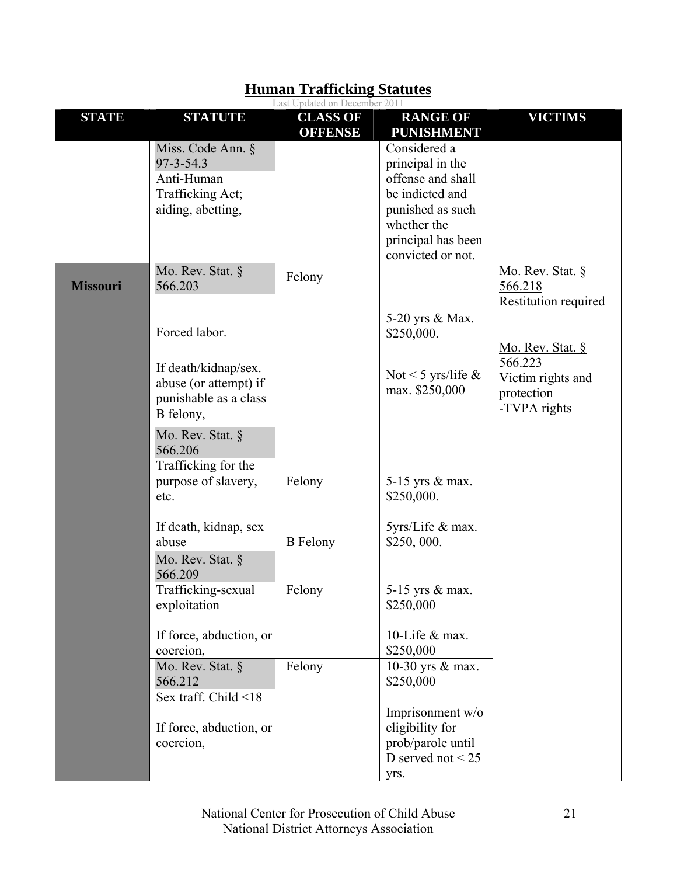|                 |                         | Last Updated on December 2011     |                                          |                      |
|-----------------|-------------------------|-----------------------------------|------------------------------------------|----------------------|
| <b>STATE</b>    | <b>STATUTE</b>          | <b>CLASS OF</b><br><b>OFFENSE</b> | <b>RANGE OF</b><br><b>PUNISHMENT</b>     | <b>VICTIMS</b>       |
|                 | Miss. Code Ann. §       |                                   | Considered a                             |                      |
|                 | $97 - 3 - 54.3$         |                                   | principal in the                         |                      |
|                 | Anti-Human              |                                   | offense and shall                        |                      |
|                 | Trafficking Act;        |                                   | be indicted and                          |                      |
|                 | aiding, abetting,       |                                   | punished as such                         |                      |
|                 |                         |                                   | whether the                              |                      |
|                 |                         |                                   | principal has been                       |                      |
|                 |                         |                                   | convicted or not.                        |                      |
|                 | Mo. Rev. Stat. §        | Felony                            |                                          | Mo. Rev. Stat. §     |
| <b>Missouri</b> | 566.203                 |                                   |                                          | 566.218              |
|                 |                         |                                   |                                          | Restitution required |
|                 |                         |                                   | 5-20 yrs & Max.                          |                      |
|                 | Forced labor.           |                                   | \$250,000.                               |                      |
|                 |                         |                                   |                                          | Mo. Rev. Stat. $\S$  |
|                 | If death/kidnap/sex.    |                                   |                                          | 566.223              |
|                 | abuse (or attempt) if   |                                   | Not < 5 yrs/life $\&$<br>max. \$250,000  | Victim rights and    |
|                 | punishable as a class   |                                   |                                          | protection           |
|                 | B felony,               |                                   |                                          | -TVPA rights         |
|                 | Mo. Rev. Stat. §        |                                   |                                          |                      |
|                 | 566.206                 |                                   |                                          |                      |
|                 | Trafficking for the     |                                   |                                          |                      |
|                 | purpose of slavery,     | Felony                            | 5-15 yrs & max.                          |                      |
|                 | etc.                    |                                   | \$250,000.                               |                      |
|                 |                         |                                   |                                          |                      |
|                 | If death, kidnap, sex   |                                   | 5yrs/Life & max.                         |                      |
|                 | abuse                   | <b>B</b> Felony                   | \$250,000.                               |                      |
|                 | Mo. Rev. Stat. §        |                                   |                                          |                      |
|                 | 566.209                 |                                   |                                          |                      |
|                 | Trafficking-sexual      | Felony                            | 5-15 yrs & max.                          |                      |
|                 | exploitation            |                                   | \$250,000                                |                      |
|                 |                         |                                   |                                          |                      |
|                 | If force, abduction, or |                                   | 10-Life & max.                           |                      |
|                 | coercion,               |                                   | \$250,000                                |                      |
|                 | Mo. Rev. Stat. §        | Felony                            | 10-30 yrs & max.                         |                      |
|                 | 566.212                 |                                   | \$250,000                                |                      |
|                 | Sex traff. Child <18    |                                   |                                          |                      |
|                 |                         |                                   | Imprisonment w/o                         |                      |
|                 | If force, abduction, or |                                   | eligibility for                          |                      |
|                 | coercion,               |                                   | prob/parole until<br>D served not $<$ 25 |                      |
|                 |                         |                                   |                                          |                      |
|                 |                         |                                   | yrs.                                     |                      |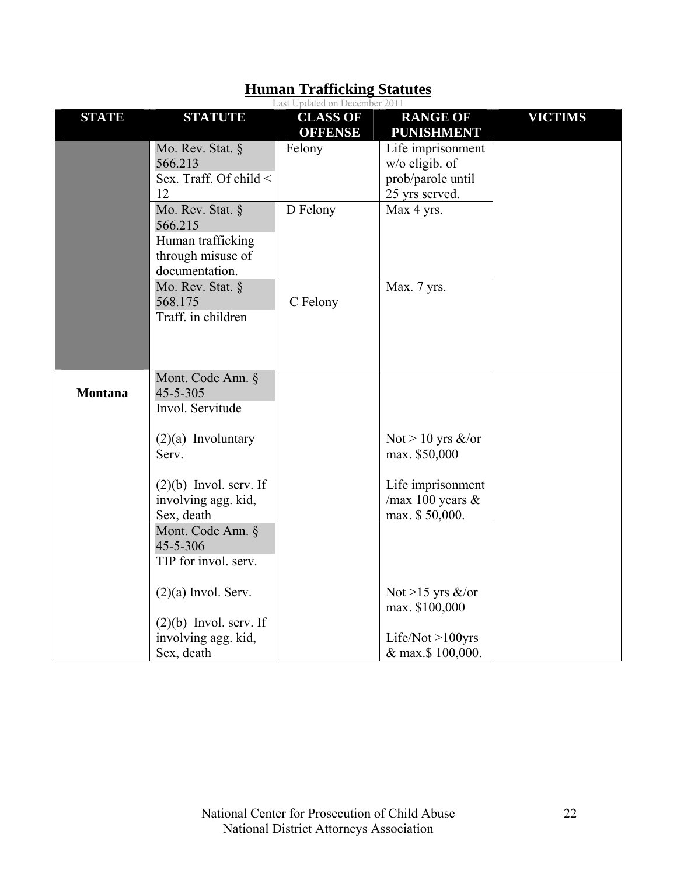|                | Last Updated on December 2011                                                           |                                   |                                                                              |                |  |  |  |
|----------------|-----------------------------------------------------------------------------------------|-----------------------------------|------------------------------------------------------------------------------|----------------|--|--|--|
| <b>STATE</b>   | <b>STATUTE</b>                                                                          | <b>CLASS OF</b><br><b>OFFENSE</b> | <b>RANGE OF</b><br><b>PUNISHMENT</b>                                         | <b>VICTIMS</b> |  |  |  |
|                | Mo. Rev. Stat. §<br>566.213<br>Sex. Traff. Of child $\leq$<br>12                        | Felony                            | Life imprisonment<br>$w/o$ eligib. of<br>prob/parole until<br>25 yrs served. |                |  |  |  |
|                | Mo. Rev. Stat. §<br>566.215<br>Human trafficking<br>through misuse of<br>documentation. | D Felony                          | Max 4 yrs.                                                                   |                |  |  |  |
|                | Mo. Rev. Stat. §<br>568.175<br>Traff. in children                                       | C Felony                          | Max. 7 yrs.                                                                  |                |  |  |  |
| <b>Montana</b> | Mont. Code Ann. §<br>$45 - 5 - 305$<br>Invol. Servitude                                 |                                   |                                                                              |                |  |  |  |
|                | $(2)(a)$ Involuntary<br>Serv.                                                           |                                   | Not > 10 yrs $\&$ /or<br>max. \$50,000                                       |                |  |  |  |
|                | $(2)(b)$ Invol. serv. If<br>involving agg. kid,<br>Sex, death                           |                                   | Life imprisonment<br>/max 100 years $&$<br>max. \$50,000.                    |                |  |  |  |
|                | Mont. Code Ann. §<br>45-5-306<br>TIP for invol. serv.                                   |                                   |                                                                              |                |  |  |  |
|                | $(2)(a)$ Invol. Serv.<br>$(2)(b)$ Invol. serv. If                                       |                                   | Not >15 yrs $\&$ /or<br>max. \$100,000                                       |                |  |  |  |
|                | involving agg. kid,<br>Sex, death                                                       |                                   | Life/Not $>100$ yrs<br>& max.\$ 100,000.                                     |                |  |  |  |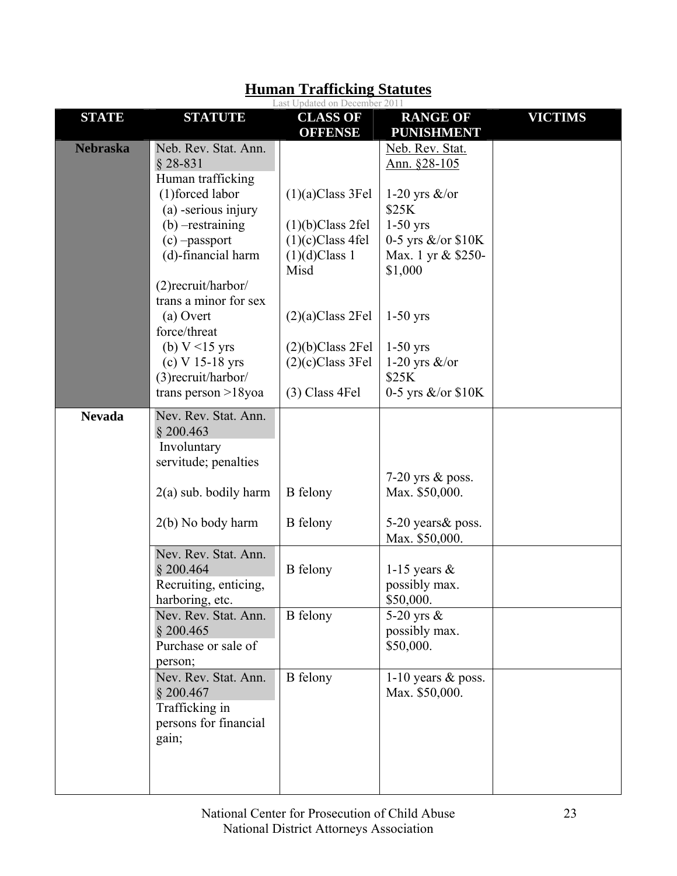|                 |                                                                                                                      | Last Updated on December 2011                                        |                                                                                 |                |
|-----------------|----------------------------------------------------------------------------------------------------------------------|----------------------------------------------------------------------|---------------------------------------------------------------------------------|----------------|
| <b>STATE</b>    | <b>STATUTE</b>                                                                                                       | <b>CLASS OF</b><br><b>OFFENSE</b>                                    | <b>RANGE OF</b><br><b>PUNISHMENT</b>                                            | <b>VICTIMS</b> |
| <b>Nebraska</b> | Neb. Rev. Stat. Ann.<br>$§$ 28-831<br>Human trafficking<br>(1) forced labor                                          | $(1)(a)$ Class 3Fel                                                  | Neb. Rev. Stat.<br>Ann. §28-105<br>1-20 yrs $\&$ /or                            |                |
|                 | (a) -serious injury<br>$(b)$ -restraining<br>$(c)$ -passport<br>(d)-financial harm                                   | (1)(b) Class 2fel<br>$(1)(c)$ Class 4fel<br>$(1)(d)$ Class 1<br>Misd | \$25K<br>$1-50$ yrs<br>0-5 yrs $\&$ /or $$10K$<br>Max. 1 yr & \$250-<br>\$1,000 |                |
|                 | $(2)$ recruit/harbor/<br>trans a minor for sex<br>(a) Overt<br>force/threat<br>(b) $V < 15$ yrs<br>$(c)$ V 15-18 yrs | $(2)(a)$ Class 2Fel<br>$(2)(b)$ Class 2Fel<br>$(2)(c)$ Class 3Fel    | $1-50$ yrs<br>$1-50$ yrs<br>1-20 yrs $\&$ /or                                   |                |
|                 | (3) recruit/harbor/<br>trans person $>18$ yoa                                                                        | $(3)$ Class 4Fel                                                     | \$25K<br>0-5 yrs $\&$ /or $$10K$                                                |                |
| <b>Nevada</b>   | Nev. Rev. Stat. Ann.<br>\$200.463<br>Involuntary<br>servitude; penalties                                             |                                                                      | 7-20 yrs $\&$ poss.                                                             |                |
|                 | $2(a)$ sub. bodily harm<br>2(b) No body harm                                                                         | <b>B</b> felony<br><b>B</b> felony                                   | Max. \$50,000.<br>5-20 years & poss.                                            |                |
|                 | Nev. Rev. Stat. Ann.                                                                                                 |                                                                      | Max. \$50,000.                                                                  |                |
|                 | \$200.464<br>Recruiting, enticing,<br>harboring, etc.                                                                | <b>B</b> felony                                                      | 1-15 years $\&$<br>possibly max.<br>\$50,000.                                   |                |
|                 | Nev. Rev. Stat. Ann.<br>\$200.465<br>Purchase or sale of<br>person;                                                  | <b>B</b> felony                                                      | 5-20 yrs $\&$<br>possibly max.<br>\$50,000.                                     |                |
|                 | Nev. Rev. Stat. Ann.<br>\$200.467<br>Trafficking in<br>persons for financial<br>gain;                                | <b>B</b> felony                                                      | 1-10 years $&$ poss.<br>Max. \$50,000.                                          |                |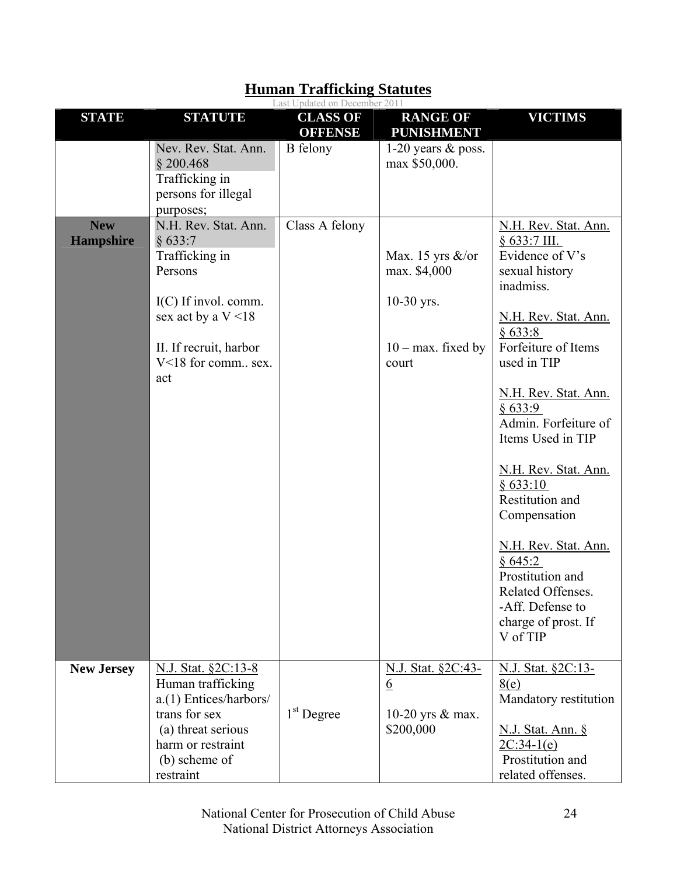|                                |                                                                                                                                                              | Last Updated on December 2011     |                                                                               |                                                                                                                                          |
|--------------------------------|--------------------------------------------------------------------------------------------------------------------------------------------------------------|-----------------------------------|-------------------------------------------------------------------------------|------------------------------------------------------------------------------------------------------------------------------------------|
| <b>STATE</b>                   | <b>STATUTE</b>                                                                                                                                               | <b>CLASS OF</b><br><b>OFFENSE</b> | <b>RANGE OF</b><br><b>PUNISHMENT</b>                                          | <b>VICTIMS</b>                                                                                                                           |
| <b>New</b><br><b>Hampshire</b> | Nev. Rev. Stat. Ann.<br>\$200.468<br>Trafficking in<br>persons for illegal<br>purposes;<br>N.H. Rev. Stat. Ann.<br>§ 633:7<br>Trafficking in<br>Persons      | B felony<br>Class A felony        | 1-20 years $&$ poss.<br>max \$50,000.<br>Max. 15 yrs $\&$ /or<br>max. \$4,000 | N.H. Rev. Stat. Ann.<br>$§ 633:7$ III.<br>Evidence of V's<br>sexual history<br>inadmiss.                                                 |
|                                | $I(C)$ If invol. comm.<br>sex act by a $V < 18$<br>II. If recruit, harbor<br>V<18 for comm sex.<br>act                                                       |                                   | $10-30$ yrs.<br>$10 - \text{max}$ . fixed by<br>court                         | N.H. Rev. Stat. Ann.<br>§ 633:8<br>Forfeiture of Items<br>used in TIP<br>N.H. Rev. Stat. Ann.                                            |
|                                |                                                                                                                                                              |                                   |                                                                               | § 633:9<br>Admin. Forfeiture of<br>Items Used in TIP<br>N.H. Rev. Stat. Ann.<br>§ 633:10<br>Restitution and<br>Compensation              |
|                                |                                                                                                                                                              |                                   |                                                                               | N.H. Rev. Stat. Ann.<br>§645:2<br>Prostitution and<br><b>Related Offenses</b><br>-Aff. Defense to<br>charge of prost. If<br>V of TIP     |
| <b>New Jersey</b>              | N.J. Stat. §2C:13-8<br>Human trafficking<br>a.(1) Entices/harbors/<br>trans for sex<br>(a) threat serious<br>harm or restraint<br>(b) scheme of<br>restraint | $1st$ Degree                      | N.J. Stat. §2C:43-<br><u>6</u><br>10-20 yrs & max.<br>\$200,000               | N.J. Stat. §2C:13-<br>8(e)<br>Mandatory restitution<br><u>N.J. Stat. Ann. §</u><br>$2C:34-1(e)$<br>Prostitution and<br>related offenses. |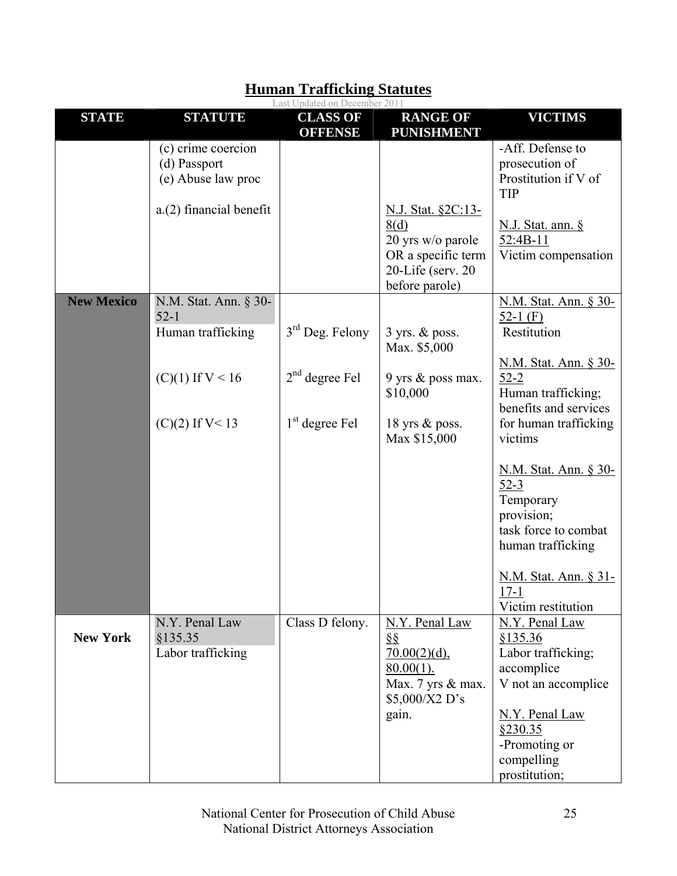|                   |                                                                                     | Last Updated on December 2011     |                                                                                                    |                                                                                                         |
|-------------------|-------------------------------------------------------------------------------------|-----------------------------------|----------------------------------------------------------------------------------------------------|---------------------------------------------------------------------------------------------------------|
| <b>STATE</b>      | <b>STATUTE</b>                                                                      | <b>CLASS OF</b><br><b>OFFENSE</b> | <b>RANGE OF</b><br><b>PUNISHMENT</b>                                                               | <b>VICTIMS</b>                                                                                          |
|                   | (c) crime coercion<br>(d) Passport<br>(e) Abuse law proc<br>a.(2) financial benefit |                                   | <u>N.J. Stat. §2C:13-</u>                                                                          | -Aff. Defense to<br>prosecution of<br>Prostitution if V of<br><b>TIP</b>                                |
|                   |                                                                                     |                                   | 8(d)<br>20 yrs w/o parole<br>OR a specific term<br>$20$ -Life (serv. $20$<br>before parole)        | <u>N.J. Stat. ann. §</u><br>52:4B-11<br>Victim compensation                                             |
| <b>New Mexico</b> | N.M. Stat. Ann. § 30-<br>$52 - 1$                                                   |                                   |                                                                                                    | N.M. Stat. Ann. § 30-<br>52-1 $(F)$                                                                     |
|                   | Human trafficking                                                                   | $3rd$ Deg. Felony                 | $3$ yrs. $&$ poss.<br>Max. \$5,000                                                                 | Restitution                                                                                             |
|                   | $(C)(1)$ If $V < 16$                                                                | $2nd$ degree Fel                  | 9 yrs & poss max.<br>\$10,000                                                                      | <u>N.M. Stat. Ann. § 30-</u><br>$52 - 2$<br>Human trafficking;<br>benefits and services                 |
|                   | $(C)(2)$ If V< 13                                                                   | $1st$ degree Fel                  | 18 yrs $\&$ poss.<br>Max \$15,000                                                                  | for human trafficking<br>victims                                                                        |
|                   |                                                                                     |                                   |                                                                                                    | N.M. Stat. Ann. § 30-<br>$52-3$<br>Temporary<br>provision;<br>task force to combat<br>human trafficking |
|                   |                                                                                     |                                   |                                                                                                    | <u>N.M. Stat. Ann. § 31-</u><br>$17 - 1$<br>Victim restitution                                          |
| <b>New York</b>   | N.Y. Penal Law<br>§135.35<br>Labor trafficking                                      | Class D felony.                   | N.Y. Penal Law<br>$\S\S$<br>$70.00(2)(d)$ ,<br>$80.00(1)$ .<br>Max. 7 yrs & max.<br>\$5,000/X2 D's | N.Y. Penal Law<br>§135.36<br>Labor trafficking;<br>accomplice<br>V not an accomplice                    |
|                   |                                                                                     |                                   | gain.                                                                                              | N.Y. Penal Law<br>\$230.35<br>-Promoting or<br>compelling<br>prostitution;                              |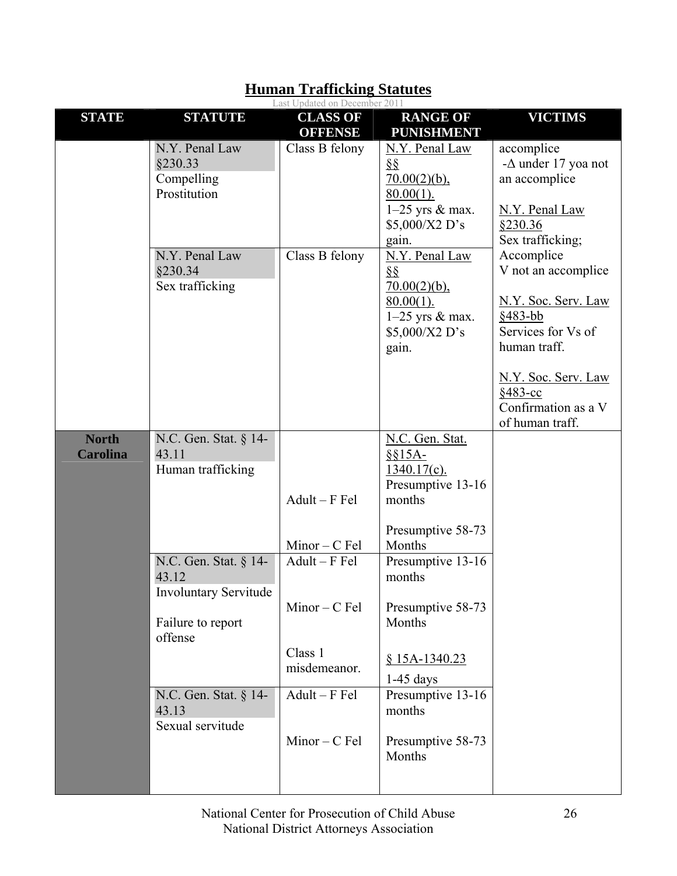| <b>STATE</b>                    | <b>STATUTE</b>                                                                                 | Last Opuated on December 2011<br><b>CLASS OF</b><br><b>OFFENSE</b> | <b>RANGE OF</b><br><b>PUNISHMENT</b>                                                                        | <b>VICTIMS</b>                                                                                                                                                                          |
|---------------------------------|------------------------------------------------------------------------------------------------|--------------------------------------------------------------------|-------------------------------------------------------------------------------------------------------------|-----------------------------------------------------------------------------------------------------------------------------------------------------------------------------------------|
|                                 | N.Y. Penal Law<br>§230.33<br>Compelling<br>Prostitution                                        | Class B felony                                                     | N.Y. Penal Law<br>$\S\S$<br>$70.00(2)(b)$ ,<br>$80.00(1)$ .<br>$1-25$ yrs & max.<br>\$5,000/X2 D's<br>gain. | accomplice<br>- $\Delta$ under 17 yoa not<br>an accomplice<br>N.Y. Penal Law<br>\$230.36<br>Sex trafficking;                                                                            |
|                                 | N.Y. Penal Law<br>§230.34<br>Sex trafficking                                                   | Class B felony                                                     | N.Y. Penal Law<br>$\S\S$<br>$70.00(2)(b)$ ,<br>$80.00(1)$ .<br>$1-25$ yrs & max.<br>\$5,000/X2 D's<br>gain. | Accomplice<br>V not an accomplice<br>N.Y. Soc. Serv. Law<br>$$483-bb$<br>Services for Vs of<br>human traff.<br>N.Y. Soc. Serv. Law<br>§483-cc<br>Confirmation as a V<br>of human traff. |
| <b>North</b><br><b>Carolina</b> | N.C. Gen. Stat. § 14-<br>43.11<br>Human trafficking                                            | $Adult - F$ Fel<br>$Minor - C Fel$                                 | N.C. Gen. Stat.<br>$§§15A-$<br>$1340.17(c)$ .<br>Presumptive 13-16<br>months<br>Presumptive 58-73<br>Months |                                                                                                                                                                                         |
|                                 | N.C. Gen. Stat. § 14-<br>43.12<br><b>Involuntary Servitude</b><br>Failure to report<br>offense | $Adult - F$ Fel<br>$Minor - C$ Fel<br>Class 1<br>misdemeanor.      | Presumptive $13-16$<br>months<br>Presumptive 58-73<br>Months<br>$$15A-1340.23$<br>1-45 days                 |                                                                                                                                                                                         |
|                                 | N.C. Gen. Stat. § 14-<br>43.13<br>Sexual servitude                                             | $Adult-F$ Fel<br>$Minor - C$ Fel                                   | Presumptive 13-16<br>months<br>Presumptive 58-73<br>Months                                                  |                                                                                                                                                                                         |

#### **Human Trafficking Statutes** Last Updated on December 2011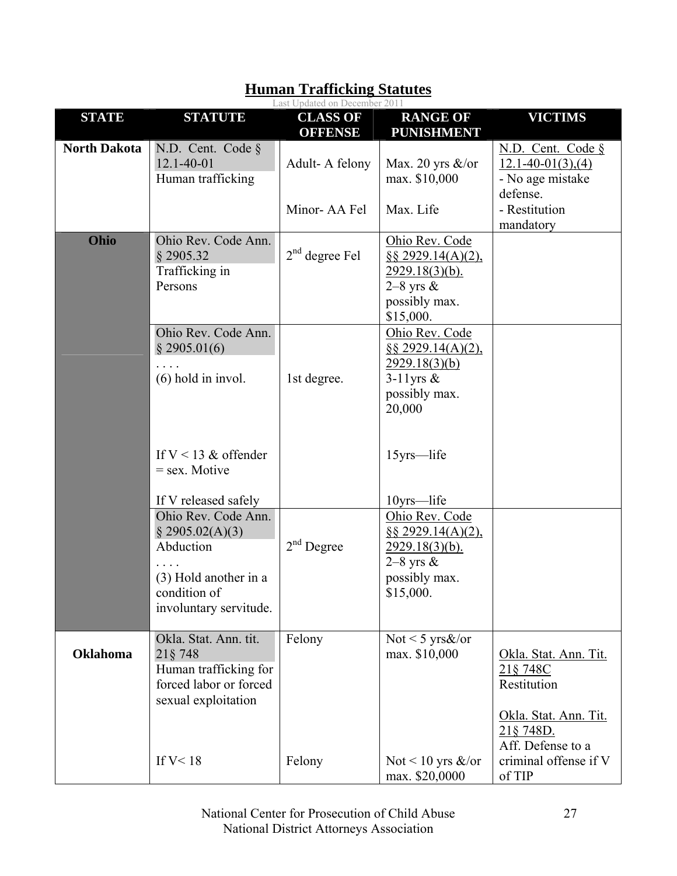|                     |                                                                                                                        | Last Updated on December 2011     |                                                                                                                  |                                                                                        |
|---------------------|------------------------------------------------------------------------------------------------------------------------|-----------------------------------|------------------------------------------------------------------------------------------------------------------|----------------------------------------------------------------------------------------|
| <b>STATE</b>        | <b>STATUTE</b>                                                                                                         | <b>CLASS OF</b><br><b>OFFENSE</b> | <b>RANGE OF</b><br><b>PUNISHMENT</b>                                                                             | <b>VICTIMS</b>                                                                         |
| <b>North Dakota</b> | N.D. Cent. Code $\S$<br>$12.1 - 40 - 01$<br>Human trafficking                                                          | Adult-A felony                    | Max. 20 yrs $\&$ /or<br>max. \$10,000                                                                            | N.D. Cent. Code §<br>$12.1 - 40 - 01(3)$ , (4)<br>- No age mistake<br>defense.         |
|                     |                                                                                                                        | Minor-AA Fel                      | Max. Life                                                                                                        | - Restitution<br>mandatory                                                             |
| Ohio                | Ohio Rev. Code Ann.<br>§ 2905.32<br>Trafficking in<br>Persons                                                          | $2nd$ degree Fel                  | Ohio Rev. Code<br>$\S$ § 2929.14(A)(2),<br><u>2929.18(3)(b).</u><br>$2-8$ yrs $\&$<br>possibly max.<br>\$15,000. |                                                                                        |
|                     | Ohio Rev. Code Ann.<br>$§$ 2905.01(6)<br>$(6)$ hold in invol.                                                          | 1st degree.                       | Ohio Rev. Code<br>$\S$ § 2929.14(A)(2),<br>2929.18(3)(b)<br>$3-11$ yrs &<br>possibly max.<br>20,000              |                                                                                        |
|                     | If $V < 13$ & offender<br>$=$ sex. Motive<br>If V released safely                                                      |                                   | 15yrs-life<br>10yrs-life                                                                                         |                                                                                        |
|                     | Ohio Rev. Code Ann.<br>\$2905.02(A)(3)<br>Abduction<br>(3) Hold another in a<br>condition of<br>involuntary servitude. | $2nd$ Degree                      | Ohio Rev. Code<br>$\S$ § 2929.14(A)(2),<br>$2929.18(3)(b)$ .<br>$2-8$ yrs $\&$<br>possibly max.<br>\$15,000.     |                                                                                        |
| <b>Oklahoma</b>     | Okla. Stat. Ann. tit.<br>21§ 748<br>Human trafficking for<br>forced labor or forced<br>sexual exploitation             | Felony                            | Not < 5 yrs $\&$ /or<br>max. \$10,000                                                                            | Okla. Stat. Ann. Tit.<br>21§ 748C<br>Restitution<br>Okla. Stat. Ann. Tit.<br>21§ 748D. |
|                     | If $V < 18$                                                                                                            | Felony                            | Not < 10 yrs $\&$ /or<br>max. \$20,0000                                                                          | Aff. Defense to a<br>criminal offense if V<br>of TIP                                   |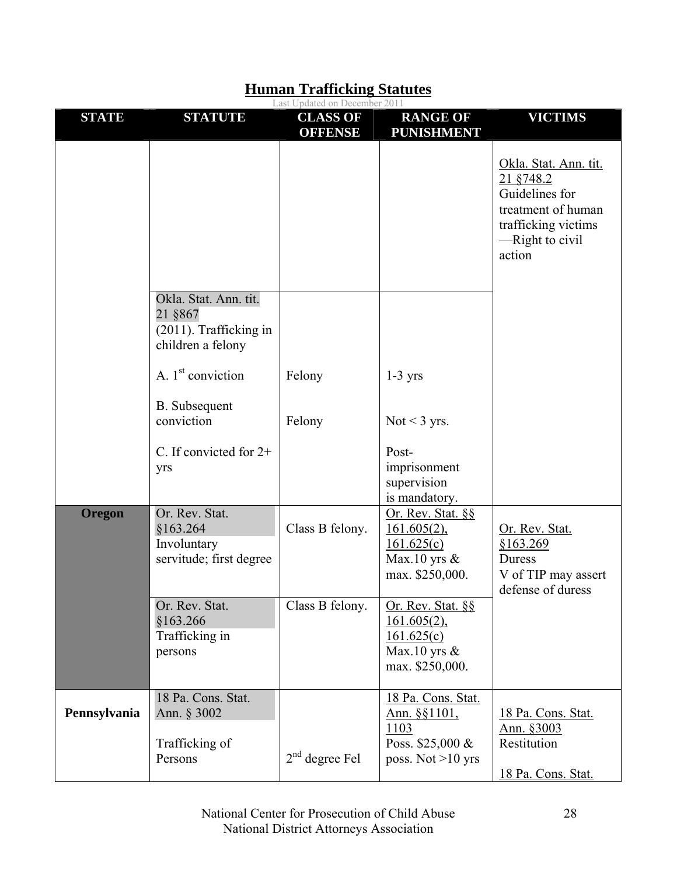|               |                                                                                 | Last Updated on December 2011     |                                                                                              |                                                                                                                                         |
|---------------|---------------------------------------------------------------------------------|-----------------------------------|----------------------------------------------------------------------------------------------|-----------------------------------------------------------------------------------------------------------------------------------------|
| <b>STATE</b>  | <b>STATUTE</b>                                                                  | <b>CLASS OF</b><br><b>OFFENSE</b> | <b>RANGE OF</b><br><b>PUNISHMENT</b>                                                         | <b>VICTIMS</b>                                                                                                                          |
|               |                                                                                 |                                   |                                                                                              | Okla. Stat. Ann. tit.<br>21 §748.2<br>Guidelines for<br>treatment of human<br>trafficking victims<br>$\equiv$ -Right to civil<br>action |
|               | Okla. Stat. Ann. tit.<br>21 §867<br>(2011). Trafficking in<br>children a felony |                                   |                                                                                              |                                                                                                                                         |
|               | A. $1st$ conviction                                                             | Felony                            | $1-3$ yrs                                                                                    |                                                                                                                                         |
|               | B. Subsequent<br>conviction                                                     | Felony                            | Not < $3$ yrs.                                                                               |                                                                                                                                         |
|               | C. If convicted for $2+$<br>yrs                                                 |                                   | Post-<br>imprisonment<br>supervision<br>is mandatory.                                        |                                                                                                                                         |
| <b>Oregon</b> | Or. Rev. Stat.<br>§163.264<br>Involuntary<br>servitude; first degree            | Class B felony.                   | Or. Rev. Stat. $\S$<br>$161.605(2)$ ,<br>161.625(c)<br>Max.10 yrs $\&$<br>max. \$250,000.    | Or. Rev. Stat.<br>\$163.269<br>Duress<br>V of TIP may assert<br>defense of duress                                                       |
|               | Or. Rev. Stat.<br>§163.266<br>Trafficking in<br>persons                         | Class B felony.                   | Or. Rev. Stat. §§<br>$161.605(2)$ ,<br>161.625(c)<br>Max.10 yrs $\&$<br>max. \$250,000.      |                                                                                                                                         |
| Pennsylvania  | 18 Pa. Cons. Stat.<br>Ann. § 3002<br>Trafficking of<br>Persons                  | $2nd$ degree Fel                  | 18 Pa. Cons. Stat.<br><u>Ann. §§1101,</u><br>1103<br>Poss. \$25,000 &<br>poss. Not $>10$ yrs | 18 Pa. Cons. Stat.<br>Ann. §3003<br>Restitution<br><u>18 Pa. Cons. Stat.</u>                                                            |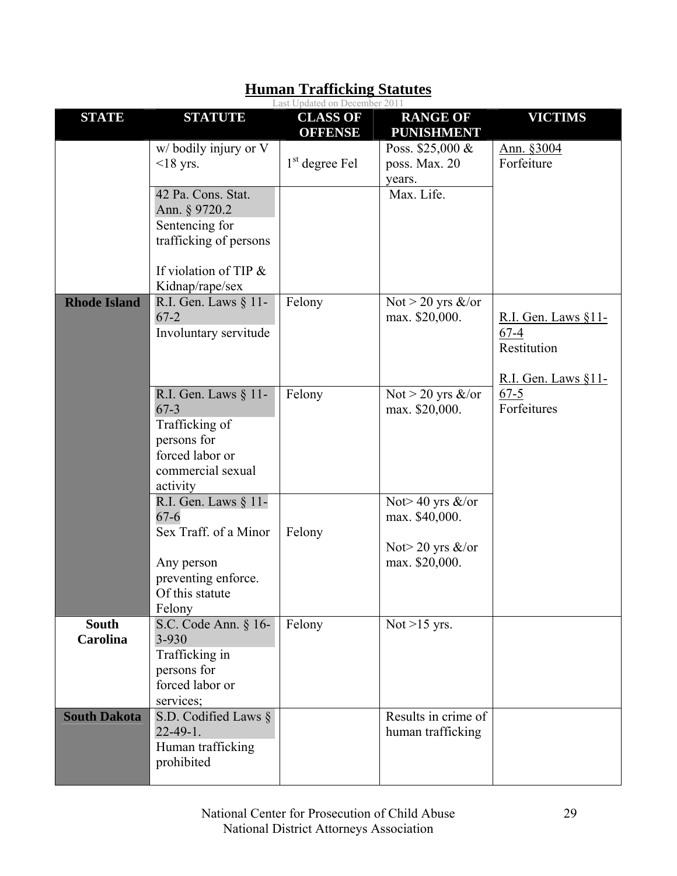|                                 |                                                                                                                                                       | Last Updated on December 2011     |                                                                                   |                                                                           |
|---------------------------------|-------------------------------------------------------------------------------------------------------------------------------------------------------|-----------------------------------|-----------------------------------------------------------------------------------|---------------------------------------------------------------------------|
| <b>STATE</b>                    | <b>STATUTE</b>                                                                                                                                        | <b>CLASS OF</b><br><b>OFFENSE</b> | <b>RANGE OF</b><br><b>PUNISHMENT</b>                                              | <b>VICTIMS</b>                                                            |
|                                 | $w/$ bodily injury or V<br>$<$ 18 yrs.<br>42 Pa. Cons. Stat.<br>Ann. § 9720.2<br>Sentencing for<br>trafficking of persons<br>If violation of TIP $\&$ | $1st$ degree Fel                  | Poss. $$25,000 \&$<br>poss. Max. 20<br>years.<br>Max. Life.                       | Ann. §3004<br>Forfeiture                                                  |
| <b>Rhode Island</b>             | Kidnap/rape/sex<br>R.I. Gen. Laws § 11-<br>$67 - 2$<br>Involuntary servitude                                                                          | Felony                            | Not > 20 yrs $\&$ /or<br>max. \$20,000.                                           | R.I. Gen. Laws $§11-$<br>$67 - 4$<br>Restitution<br>R.I. Gen. Laws $§11-$ |
|                                 | R.I. Gen. Laws § 11-<br>$67 - 3$<br>Trafficking of<br>persons for<br>forced labor or<br>commercial sexual<br>activity                                 | Felony                            | Not > 20 yrs $\&$ /or<br>max. \$20,000.                                           | $67 - 5$<br>Forfeitures                                                   |
|                                 | R.I. Gen. Laws § 11-<br>$67 - 6$<br>Sex Traff. of a Minor<br>Any person<br>preventing enforce.<br>Of this statute<br>Felony                           | Felony                            | Not $> 40$ yrs $>$ /or<br>max. \$40,000.<br>Not $>$ 20 yrs &/or<br>max. \$20,000. |                                                                           |
| <b>South</b><br><b>Carolina</b> | S.C. Code Ann. § 16-<br>3-930<br>Trafficking in<br>persons for<br>forced labor or<br>services;                                                        | Felony                            | Not $>15$ yrs.                                                                    |                                                                           |
| <b>South Dakota</b>             | S.D. Codified Laws §<br>$22 - 49 - 1$ .<br>Human trafficking<br>prohibited                                                                            |                                   | Results in crime of<br>human trafficking                                          |                                                                           |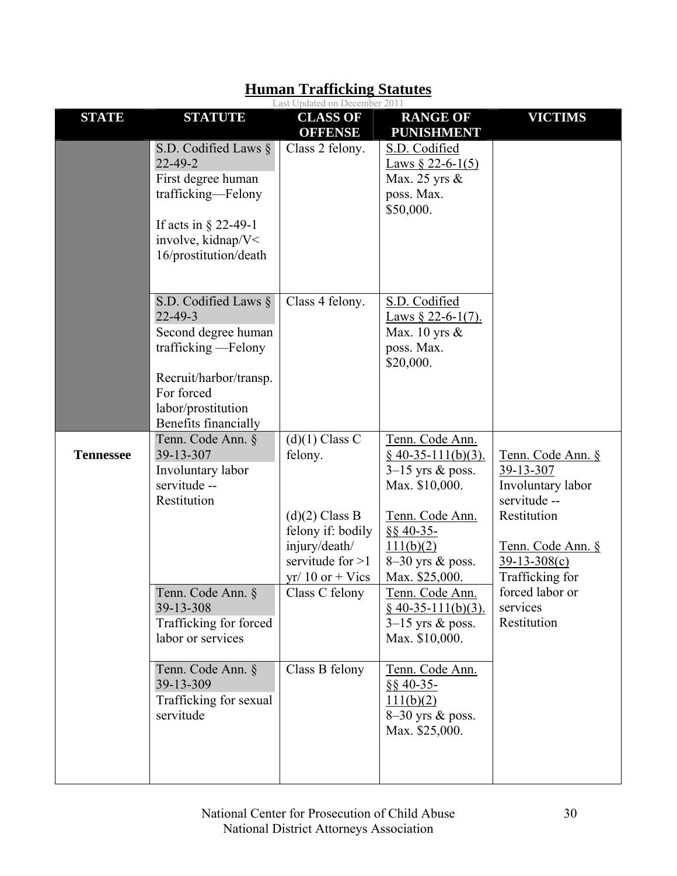|                  |                                                                                                                                                                               | Last Updated on December 2011                                                                                                    |                                                                                                                                                                       |                                                                                                                                              |
|------------------|-------------------------------------------------------------------------------------------------------------------------------------------------------------------------------|----------------------------------------------------------------------------------------------------------------------------------|-----------------------------------------------------------------------------------------------------------------------------------------------------------------------|----------------------------------------------------------------------------------------------------------------------------------------------|
| <b>STATE</b>     | <b>STATUTE</b>                                                                                                                                                                | <b>CLASS OF</b><br><b>OFFENSE</b>                                                                                                | <b>RANGE OF</b><br><b>PUNISHMENT</b>                                                                                                                                  | <b>VICTIMS</b>                                                                                                                               |
|                  | S.D. Codified Laws $\S$<br>$22 - 49 - 2$<br>First degree human<br>trafficking-Felony<br>If acts in $\S$ 22-49-1<br>involve, kidnap/V<<br>16/prostitution/death                | Class 2 felony.                                                                                                                  | S.D. Codified<br>Laws § 22-6-1(5)<br>Max. 25 yrs &<br>poss. Max.<br>\$50,000.                                                                                         |                                                                                                                                              |
|                  | S.D. Codified Laws $\S$<br>$22 - 49 - 3$<br>Second degree human<br>trafficking - Felony<br>Recruit/harbor/transp.<br>For forced<br>labor/prostitution<br>Benefits financially | Class 4 felony.                                                                                                                  | S.D. Codified<br>Laws $\S$ 22-6-1(7).<br>Max. 10 yrs $\&$<br>poss. Max.<br>\$20,000.                                                                                  |                                                                                                                                              |
| <b>Tennessee</b> | Tenn. Code Ann. §<br>39-13-307<br>Involuntary labor<br>servitude --<br>Restitution                                                                                            | $(d)(1)$ Class C<br>felony.<br>$(d)(2)$ Class B<br>felony if: bodily<br>injury/death/<br>servitude for $>1$<br>$yr/10$ or + Vics | Tenn. Code Ann.<br>$§$ 40-35-111(b)(3).<br>$3-15$ yrs & poss.<br>Max. \$10,000.<br>Tenn. Code Ann.<br>$§$ § 40-35-<br>111(b)(2)<br>8-30 yrs & poss.<br>Max. \$25,000. | Tenn. Code Ann. §<br>39-13-307<br>Involuntary labor<br>servitude --<br>Restitution<br>Tenn. Code Ann. §<br>$39-13-308(c)$<br>Trafficking for |
|                  | Tenn. Code Ann. §<br>39-13-308<br>Trafficking for forced<br>labor or services                                                                                                 | Class C felony                                                                                                                   | <u>Tenn. Code Ann.</u><br>$§$ 40-35-111(b)(3).<br>$3-15$ yrs & poss.<br>Max. \$10,000.                                                                                | forced labor or<br>services<br>Restitution                                                                                                   |
|                  | Tenn. Code Ann. §<br>39-13-309<br>Trafficking for sexual<br>servitude                                                                                                         | Class B felony                                                                                                                   | Tenn. Code Ann.<br>$§$ § 40-35-<br>111(b)(2)<br>8-30 yrs & poss.<br>Max. \$25,000.                                                                                    |                                                                                                                                              |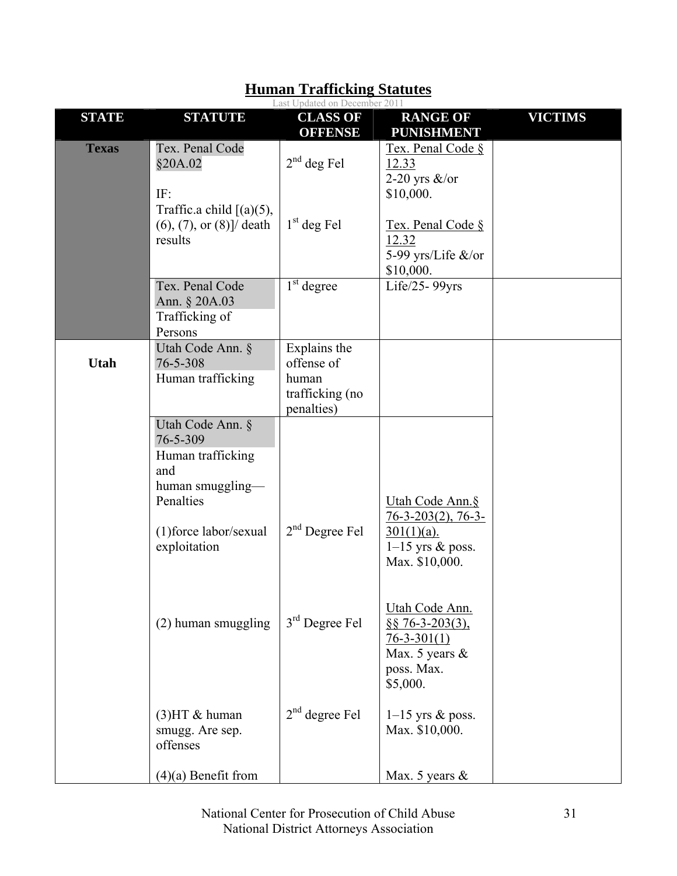|              |                                                                                                                     | Last Updated on December 2011                                        |                                                                                                                  |                |
|--------------|---------------------------------------------------------------------------------------------------------------------|----------------------------------------------------------------------|------------------------------------------------------------------------------------------------------------------|----------------|
| <b>STATE</b> | <b>STATUTE</b>                                                                                                      | <b>CLASS OF</b><br><b>OFFENSE</b>                                    | <b>RANGE OF</b><br><b>PUNISHMENT</b>                                                                             | <b>VICTIMS</b> |
| <b>Texas</b> | Tex. Penal Code<br>§20A.02<br>IF:<br>Traffic.a child $[(a)(5),$<br>$(6), (7),$ or $(8)$ ]/ death<br>results         | $2nd$ deg Fel<br>$1st$ deg Fel                                       | Tex. Penal Code §<br>12.33<br>2-20 yrs $\&$ /or<br>\$10,000.<br>Tex. Penal Code §<br>12.32<br>5-99 yrs/Life &/or |                |
|              | Tex. Penal Code<br>Ann. § 20A.03<br>Trafficking of<br>Persons                                                       | $1st$ degree                                                         | \$10,000.<br>Life/25-99yrs                                                                                       |                |
| Utah         | Utah Code Ann. §<br>76-5-308<br>Human trafficking                                                                   | Explains the<br>offense of<br>human<br>trafficking (no<br>penalties) |                                                                                                                  |                |
|              | Utah Code Ann. §<br>76-5-309<br>Human trafficking<br>and<br>human smuggling—<br>Penalties<br>(1) force labor/sexual | $2nd$ Degree Fel                                                     | Utah Code Ann.§<br>$76-3-203(2)$ , 76-3-<br>$301(1)(a)$ .                                                        |                |
|              | exploitation                                                                                                        |                                                                      | $1-15$ yrs & poss.<br>Max. \$10,000.<br>Utah Code Ann.                                                           |                |
|              | (2) human smuggling                                                                                                 | $3rd$ Degree Fel                                                     | $\S$ § 76-3-203(3),<br>$76 - 3 - 301(1)$<br>Max. 5 years $\&$<br>poss. Max.<br>\$5,000.                          |                |
|              | $(3)$ HT & human<br>smugg. Are sep.<br>offenses                                                                     | $2nd$ degree Fel                                                     | $1-15$ yrs & poss.<br>Max. \$10,000.                                                                             |                |
|              | $(4)(a)$ Benefit from                                                                                               |                                                                      | Max. 5 years $\&$                                                                                                |                |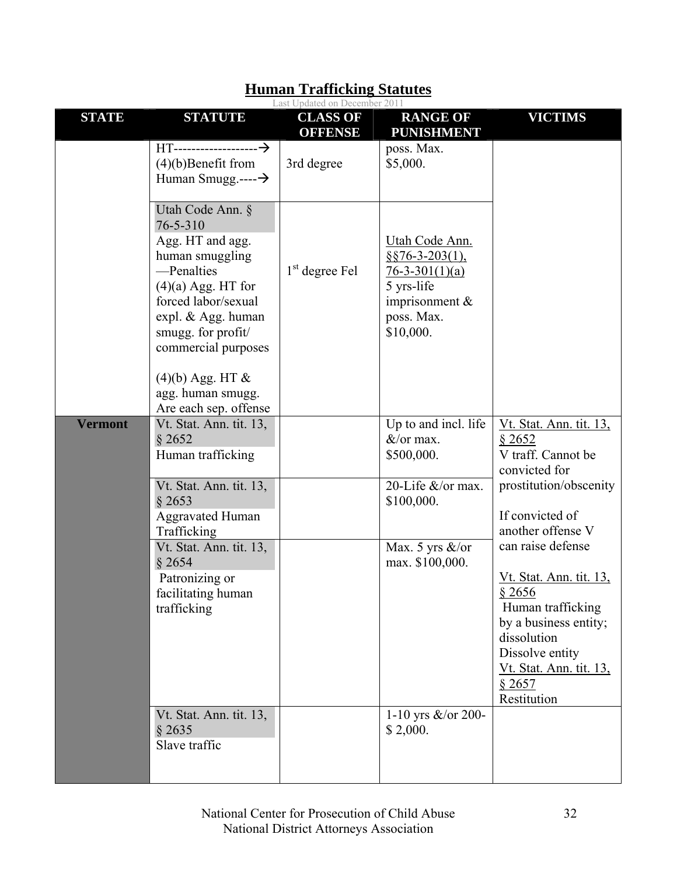| <b>STATE</b>   | <b>STATUTE</b>                                                                                                                                                                                                            | Last Opuateu on Deceniuei 2011<br><b>CLASS OF</b><br><b>OFFENSE</b> | <b>RANGE OF</b><br><b>PUNISHMENT</b>                                                                                      | <b>VICTIMS</b>                                                                                                                                                                                    |
|----------------|---------------------------------------------------------------------------------------------------------------------------------------------------------------------------------------------------------------------------|---------------------------------------------------------------------|---------------------------------------------------------------------------------------------------------------------------|---------------------------------------------------------------------------------------------------------------------------------------------------------------------------------------------------|
|                | $(4)(b)$ Benefit from<br>Human Smugg.---- $\rightarrow$                                                                                                                                                                   | 3rd degree                                                          | poss. Max.<br>\$5,000.                                                                                                    |                                                                                                                                                                                                   |
|                | Utah Code Ann. §<br>76-5-310<br>Agg. HT and agg.<br>human smuggling<br>-Penalties<br>$(4)(a)$ Agg. HT for<br>forced labor/sexual<br>expl. & Agg. human<br>smugg. for profit/<br>commercial purposes<br>$(4)(b)$ Agg. HT & | $1st$ degree Fel                                                    | Utah Code Ann.<br>$§$ §76-3-203(1),<br>$76 - 3 - 301(1)(a)$<br>5 yrs-life<br>imprisonment $\&$<br>poss. Max.<br>\$10,000. |                                                                                                                                                                                                   |
|                | agg. human smugg.<br>Are each sep. offense                                                                                                                                                                                |                                                                     |                                                                                                                           |                                                                                                                                                                                                   |
| <b>Vermont</b> | Vt. Stat. Ann. tit. 13,<br>§ 2652<br>Human trafficking                                                                                                                                                                    |                                                                     | Up to and incl. life<br>$&\ell$ or max.<br>\$500,000.                                                                     | <u>Vt. Stat. Ann. tit. 13,</u><br>\$2652<br>V traff. Cannot be<br>convicted for                                                                                                                   |
|                | Vt. Stat. Ann. tit. 13,<br>§ 2653<br><b>Aggravated Human</b><br>Trafficking                                                                                                                                               |                                                                     | 20-Life &/or max.<br>\$100,000.                                                                                           | prostitution/obscenity<br>If convicted of<br>another offense V                                                                                                                                    |
|                | Vt. Stat. Ann. tit. 13,<br>\$2654<br>Patronizing or<br>facilitating human<br>trafficking                                                                                                                                  |                                                                     | Max. 5 yrs $\&$ /or<br>max. \$100,000.                                                                                    | can raise defense<br><u>Vt. Stat. Ann. tit. 13.</u><br>\$2656<br>Human trafficking<br>by a business entity;<br>dissolution<br>Dissolve entity<br>Vt. Stat. Ann. tit. 13,<br>\$2657<br>Restitution |
|                | Vt. Stat. Ann. tit. 13,<br>§ 2635<br>Slave traffic                                                                                                                                                                        |                                                                     | 1-10 yrs $&$ /or 200-<br>\$2,000.                                                                                         |                                                                                                                                                                                                   |

#### **Human Trafficking Statutes** Last Undete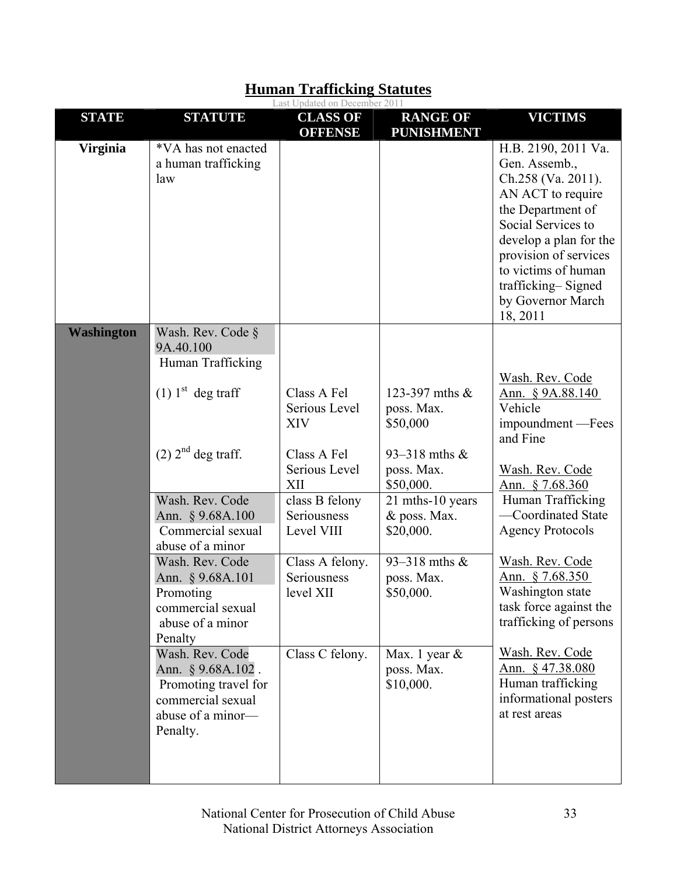|                   |                                                                                                                                                                                                                                                                                                                                                                                                                                          | Last Updated on December 2011                                                                                                                                                                      |                                                                                                                                                                                                                                      |                                                                                                                                                                                                                                                                                                                                                                                                                     |
|-------------------|------------------------------------------------------------------------------------------------------------------------------------------------------------------------------------------------------------------------------------------------------------------------------------------------------------------------------------------------------------------------------------------------------------------------------------------|----------------------------------------------------------------------------------------------------------------------------------------------------------------------------------------------------|--------------------------------------------------------------------------------------------------------------------------------------------------------------------------------------------------------------------------------------|---------------------------------------------------------------------------------------------------------------------------------------------------------------------------------------------------------------------------------------------------------------------------------------------------------------------------------------------------------------------------------------------------------------------|
| <b>STATE</b>      | <b>STATUTE</b>                                                                                                                                                                                                                                                                                                                                                                                                                           | <b>CLASS OF</b><br><b>OFFENSE</b>                                                                                                                                                                  | <b>RANGE OF</b><br><b>PUNISHMENT</b>                                                                                                                                                                                                 | <b>VICTIMS</b>                                                                                                                                                                                                                                                                                                                                                                                                      |
| <b>Virginia</b>   | *VA has not enacted<br>a human trafficking<br>law                                                                                                                                                                                                                                                                                                                                                                                        |                                                                                                                                                                                                    |                                                                                                                                                                                                                                      | H.B. 2190, 2011 Va.<br>Gen. Assemb.,<br>Ch.258 (Va. 2011).<br>AN ACT to require<br>the Department of<br>Social Services to<br>develop a plan for the<br>provision of services<br>to victims of human<br>trafficking-Signed<br>by Governor March<br>18, 2011                                                                                                                                                         |
| <b>Washington</b> | Wash. Rev. Code §<br>9A.40.100<br>Human Trafficking<br>$(1)$ 1 <sup>st</sup> deg traff<br>$(2)$ 2 <sup>nd</sup> deg traff.<br>Wash. Rev. Code<br>Ann. § 9.68A.100<br>Commercial sexual<br>abuse of a minor<br>Wash. Rev. Code<br>Ann. § 9.68A.101<br>Promoting<br>commercial sexual<br>abuse of a minor<br>Penalty<br>Wash. Rev. Code<br>Ann. § 9.68A.102.<br>Promoting travel for<br>commercial sexual<br>abuse of a minor-<br>Penalty. | Class A Fel<br>Serious Level<br><b>XIV</b><br>Class A Fel<br>Serious Level<br>XII<br>class B felony<br>Seriousness<br>Level VIII<br>Class A felony.<br>Seriousness<br>level XII<br>Class C felony. | 123-397 mths &<br>poss. Max.<br>\$50,000<br>93–318 mths $&$<br>poss. Max.<br>\$50,000.<br>21 mths-10 years<br>& poss. Max.<br>\$20,000.<br>93-318 mths $&$<br>poss. Max.<br>\$50,000.<br>Max. 1 year $\&$<br>poss. Max.<br>\$10,000. | Wash. Rev. Code<br>Ann. § 9A.88.140<br>Vehicle<br>impoundment — Fees<br>and Fine<br>Wash. Rev. Code<br>Ann. $$7.68.360$<br>Human Trafficking<br>-Coordinated State<br><b>Agency Protocols</b><br>Wash. Rev. Code<br>Ann. $§ 7.68.350$<br>Washington state<br>task force against the<br>trafficking of persons<br>Wash. Rev. Code<br>Ann. § 47.38.080<br>Human trafficking<br>informational posters<br>at rest areas |